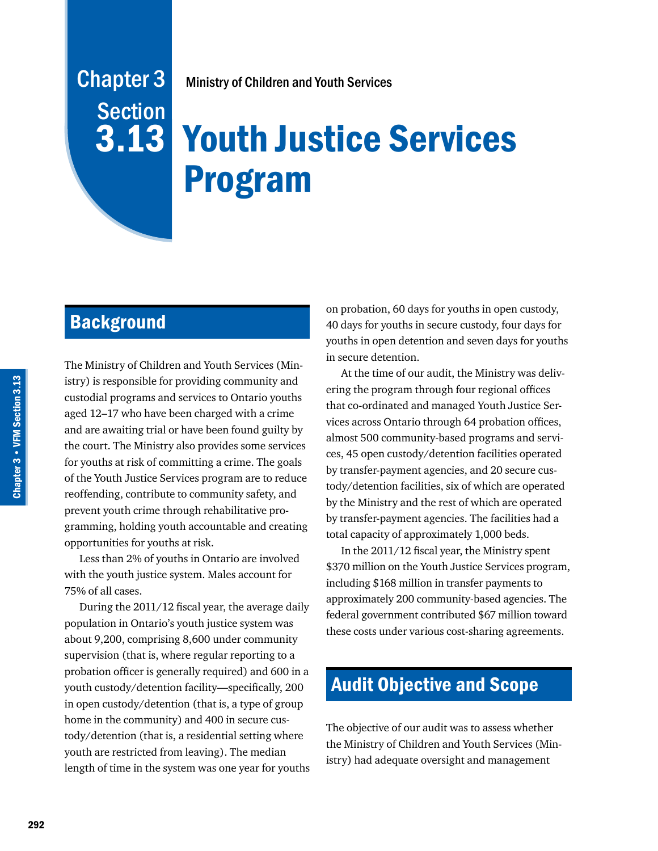# Ministry of Children and Youth Services

# **3.13 Youth Justice Services** Program

# **Background**

Chapter 3

**Section** 

The Ministry of Children and Youth Services (Ministry) is responsible for providing community and custodial programs and services to Ontario youths aged 12–17 who have been charged with a crime and are awaiting trial or have been found guilty by the court. The Ministry also provides some services for youths at risk of committing a crime. The goals of the Youth Justice Services program are to reduce reoffending, contribute to community safety, and prevent youth crime through rehabilitative programming, holding youth accountable and creating opportunities for youths at risk.

Less than 2% of youths in Ontario are involved with the youth justice system. Males account for 75% of all cases.

During the 2011/12 fiscal year, the average daily population in Ontario's youth justice system was about 9,200, comprising 8,600 under community supervision (that is, where regular reporting to a probation officer is generally required) and 600 in a youth custody/detention facility—specifically, 200 in open custody/detention (that is, a type of group home in the community) and 400 in secure custody/detention (that is, a residential setting where youth are restricted from leaving). The median length of time in the system was one year for youths on probation, 60 days for youths in open custody, 40 days for youths in secure custody, four days for youths in open detention and seven days for youths in secure detention.

At the time of our audit, the Ministry was delivering the program through four regional offices that co-ordinated and managed Youth Justice Services across Ontario through 64 probation offices, almost 500 community-based programs and services, 45 open custody/detention facilities operated by transfer-payment agencies, and 20 secure custody/detention facilities, six of which are operated by the Ministry and the rest of which are operated by transfer-payment agencies. The facilities had a total capacity of approximately 1,000 beds.

In the 2011/12 fiscal year, the Ministry spent \$370 million on the Youth Justice Services program, including \$168 million in transfer payments to approximately 200 community-based agencies. The federal government contributed \$67 million toward these costs under various cost-sharing agreements.

# Audit Objective and Scope

The objective of our audit was to assess whether the Ministry of Children and Youth Services (Ministry) had adequate oversight and management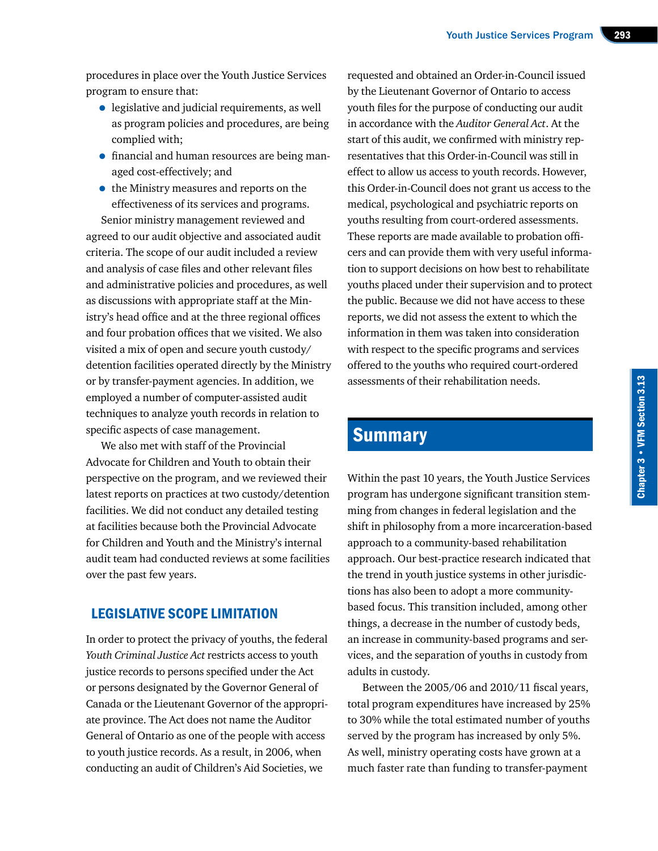procedures in place over the Youth Justice Services program to ensure that:

- legislative and judicial requirements, as well as program policies and procedures, are being complied with;
- financial and human resources are being managed cost-effectively; and
- the Ministry measures and reports on the effectiveness of its services and programs.

Senior ministry management reviewed and agreed to our audit objective and associated audit criteria. The scope of our audit included a review and analysis of case files and other relevant files and administrative policies and procedures, as well as discussions with appropriate staff at the Ministry's head office and at the three regional offices and four probation offices that we visited. We also visited a mix of open and secure youth custody/ detention facilities operated directly by the Ministry or by transfer-payment agencies. In addition, we employed a number of computer-assisted audit techniques to analyze youth records in relation to specific aspects of case management.

We also met with staff of the Provincial Advocate for Children and Youth to obtain their perspective on the program, and we reviewed their latest reports on practices at two custody/detention facilities. We did not conduct any detailed testing at facilities because both the Provincial Advocate for Children and Youth and the Ministry's internal audit team had conducted reviews at some facilities over the past few years.

# LEGISLATIVE SCOPE LIMITATION

In order to protect the privacy of youths, the federal *Youth Criminal Justice Act* restricts access to youth justice records to persons specified under the Act or persons designated by the Governor General of Canada or the Lieutenant Governor of the appropriate province. The Act does not name the Auditor General of Ontario as one of the people with access to youth justice records. As a result, in 2006, when conducting an audit of Children's Aid Societies, we

requested and obtained an Order-in-Council issued by the Lieutenant Governor of Ontario to access youth files for the purpose of conducting our audit in accordance with the *Auditor General Act*. At the start of this audit, we confirmed with ministry representatives that this Order-in-Council was still in effect to allow us access to youth records. However, this Order-in-Council does not grant us access to the medical, psychological and psychiatric reports on youths resulting from court-ordered assessments. These reports are made available to probation officers and can provide them with very useful information to support decisions on how best to rehabilitate youths placed under their supervision and to protect the public. Because we did not have access to these reports, we did not assess the extent to which the information in them was taken into consideration with respect to the specific programs and services offered to the youths who required court-ordered assessments of their rehabilitation needs.

# **Summary**

Within the past 10 years, the Youth Justice Services program has undergone significant transition stemming from changes in federal legislation and the shift in philosophy from a more incarceration-based approach to a community-based rehabilitation approach. Our best-practice research indicated that the trend in youth justice systems in other jurisdictions has also been to adopt a more communitybased focus. This transition included, among other things, a decrease in the number of custody beds, an increase in community-based programs and services, and the separation of youths in custody from adults in custody.

Between the 2005/06 and 2010/11 fiscal years, total program expenditures have increased by 25% to 30% while the total estimated number of youths served by the program has increased by only 5%. As well, ministry operating costs have grown at a much faster rate than funding to transfer-payment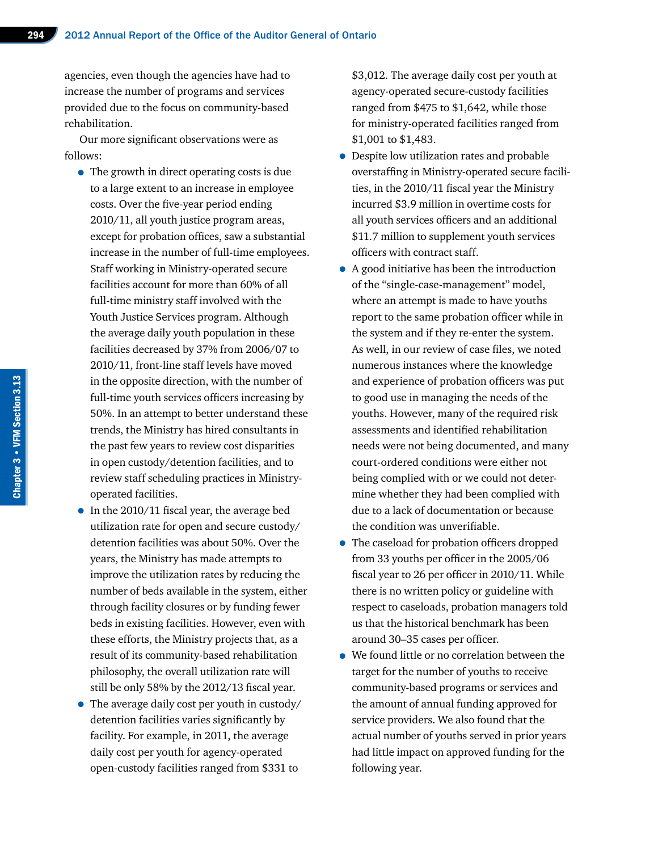agencies, even though the agencies have had to increase the number of programs and services provided due to the focus on community-based rehabilitation.

Our more significant observations were as follows:

- The growth in direct operating costs is due to a large extent to an increase in employee costs. Over the five-year period ending 2010/11, all youth justice program areas, except for probation offices, saw a substantial increase in the number of full-time employees. Staff working in Ministry-operated secure facilities account for more than 60% of all full-time ministry staff involved with the Youth Justice Services program. Although the average daily youth population in these facilities decreased by 37% from 2006/07 to 2010/11, front-line staff levels have moved in the opposite direction, with the number of full-time youth services officers increasing by 50%. In an attempt to better understand these trends, the Ministry has hired consultants in the past few years to review cost disparities in open custody/detention facilities, and to review staff scheduling practices in Ministryoperated facilities.
- In the 2010/11 fiscal year, the average bed utilization rate for open and secure custody/ detention facilities was about 50%. Over the years, the Ministry has made attempts to improve the utilization rates by reducing the number of beds available in the system, either through facility closures or by funding fewer beds in existing facilities. However, even with these efforts, the Ministry projects that, as a result of its community-based rehabilitation philosophy, the overall utilization rate will still be only 58% by the 2012/13 fiscal year.
- The average daily cost per youth in custody/ detention facilities varies significantly by facility. For example, in 2011, the average daily cost per youth for agency-operated open-custody facilities ranged from \$331 to

\$3,012. The average daily cost per youth at agency-operated secure-custody facilities ranged from \$475 to \$1,642, while those for ministry-operated facilities ranged from \$1,001 to \$1,483.

- Despite low utilization rates and probable overstaffing in Ministry-operated secure facilities, in the 2010/11 fiscal year the Ministry incurred \$3.9 million in overtime costs for all youth services officers and an additional \$11.7 million to supplement youth services officers with contract staff.
- A good initiative has been the introduction of the "single-case-management" model, where an attempt is made to have youths report to the same probation officer while in the system and if they re-enter the system. As well, in our review of case files, we noted numerous instances where the knowledge and experience of probation officers was put to good use in managing the needs of the youths. However, many of the required risk assessments and identified rehabilitation needs were not being documented, and many court-ordered conditions were either not being complied with or we could not determine whether they had been complied with due to a lack of documentation or because the condition was unverifiable.
- The caseload for probation officers dropped from 33 youths per officer in the 2005/06 fiscal year to 26 per officer in 2010/11. While there is no written policy or guideline with respect to caseloads, probation managers told us that the historical benchmark has been around 30–35 cases per officer.
- We found little or no correlation between the target for the number of youths to receive community-based programs or services and the amount of annual funding approved for service providers. We also found that the actual number of youths served in prior years had little impact on approved funding for the following year.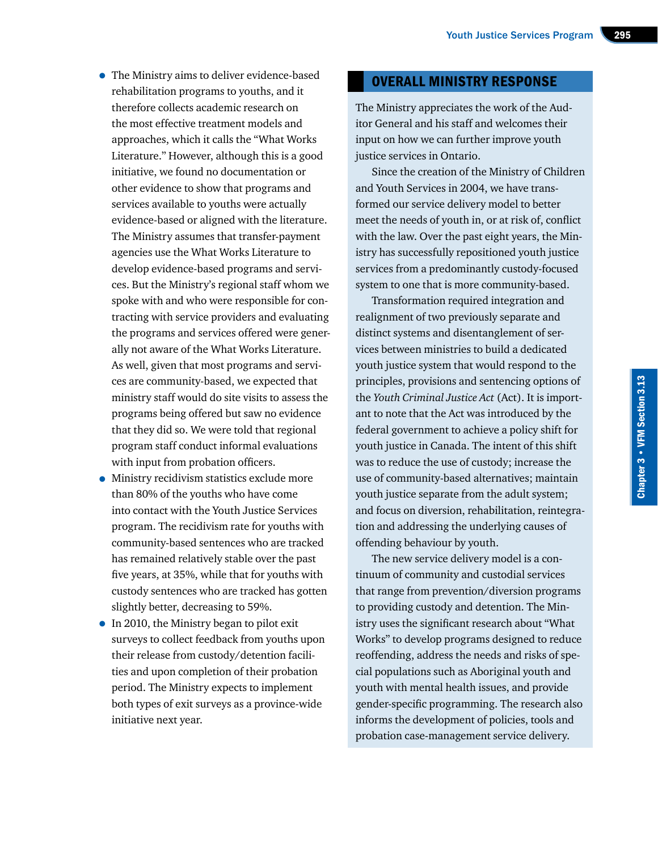- The Ministry aims to deliver evidence-based rehabilitation programs to youths, and it therefore collects academic research on the most effective treatment models and approaches, which it calls the "What Works Literature." However, although this is a good initiative, we found no documentation or other evidence to show that programs and services available to youths were actually evidence-based or aligned with the literature. The Ministry assumes that transfer-payment agencies use the What Works Literature to develop evidence-based programs and services. But the Ministry's regional staff whom we spoke with and who were responsible for contracting with service providers and evaluating the programs and services offered were generally not aware of the What Works Literature. As well, given that most programs and services are community-based, we expected that ministry staff would do site visits to assess the programs being offered but saw no evidence that they did so. We were told that regional program staff conduct informal evaluations with input from probation officers.
- Ministry recidivism statistics exclude more than 80% of the youths who have come into contact with the Youth Justice Services program. The recidivism rate for youths with community-based sentences who are tracked has remained relatively stable over the past five years, at 35%, while that for youths with custody sentences who are tracked has gotten slightly better, decreasing to 59%.
- In 2010, the Ministry began to pilot exit surveys to collect feedback from youths upon their release from custody/detention facilities and upon completion of their probation period. The Ministry expects to implement both types of exit surveys as a province-wide initiative next year.

#### OVERALL MINISTRY RESPONSE

The Ministry appreciates the work of the Auditor General and his staff and welcomes their input on how we can further improve youth justice services in Ontario.

Since the creation of the Ministry of Children and Youth Services in 2004, we have transformed our service delivery model to better meet the needs of youth in, or at risk of, conflict with the law. Over the past eight years, the Ministry has successfully repositioned youth justice services from a predominantly custody-focused system to one that is more community-based.

Transformation required integration and realignment of two previously separate and distinct systems and disentanglement of services between ministries to build a dedicated youth justice system that would respond to the principles, provisions and sentencing options of the *Youth Criminal Justice Act* (Act). It is important to note that the Act was introduced by the federal government to achieve a policy shift for youth justice in Canada. The intent of this shift was to reduce the use of custody; increase the use of community-based alternatives; maintain youth justice separate from the adult system; and focus on diversion, rehabilitation, reintegration and addressing the underlying causes of offending behaviour by youth.

The new service delivery model is a continuum of community and custodial services that range from prevention/diversion programs to providing custody and detention. The Ministry uses the significant research about "What Works" to develop programs designed to reduce reoffending, address the needs and risks of special populations such as Aboriginal youth and youth with mental health issues, and provide gender-specific programming. The research also informs the development of policies, tools and probation case-management service delivery.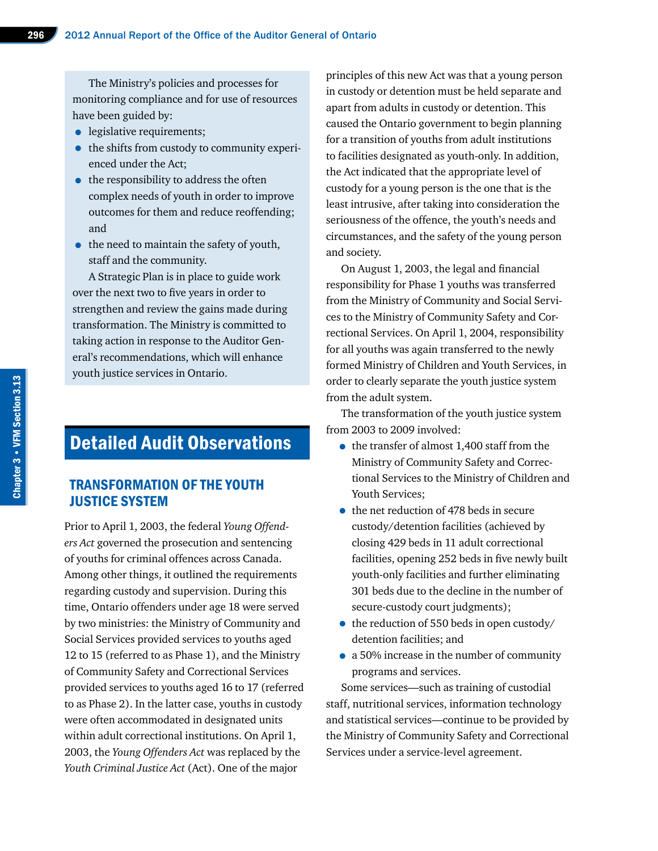The Ministry's policies and processes for monitoring compliance and for use of resources have been guided by:

- legislative requirements;
- the shifts from custody to community experienced under the Act;
- the responsibility to address the often complex needs of youth in order to improve outcomes for them and reduce reoffending; and
- the need to maintain the safety of youth, staff and the community.

A Strategic Plan is in place to guide work over the next two to five years in order to strengthen and review the gains made during transformation. The Ministry is committed to taking action in response to the Auditor General's recommendations, which will enhance youth justice services in Ontario.

# Detailed Audit Observations

# TRANSFORMATION OF THE YOUTH JUSTICE SYSTEM

Prior to April 1, 2003, the federal *Young Offenders Act* governed the prosecution and sentencing of youths for criminal offences across Canada. Among other things, it outlined the requirements regarding custody and supervision. During this time, Ontario offenders under age 18 were served by two ministries: the Ministry of Community and Social Services provided services to youths aged 12 to 15 (referred to as Phase 1), and the Ministry of Community Safety and Correctional Services provided services to youths aged 16 to 17 (referred to as Phase 2). In the latter case, youths in custody were often accommodated in designated units within adult correctional institutions. On April 1, 2003, the *Young Offenders Act* was replaced by the *Youth Criminal Justice Act* (Act). One of the major

principles of this new Act was that a young person in custody or detention must be held separate and apart from adults in custody or detention. This caused the Ontario government to begin planning for a transition of youths from adult institutions to facilities designated as youth-only. In addition, the Act indicated that the appropriate level of custody for a young person is the one that is the least intrusive, after taking into consideration the seriousness of the offence, the youth's needs and circumstances, and the safety of the young person and society.

On August 1, 2003, the legal and financial responsibility for Phase 1 youths was transferred from the Ministry of Community and Social Services to the Ministry of Community Safety and Correctional Services. On April 1, 2004, responsibility for all youths was again transferred to the newly formed Ministry of Children and Youth Services, in order to clearly separate the youth justice system from the adult system.

The transformation of the youth justice system from 2003 to 2009 involved:

- the transfer of almost 1,400 staff from the Ministry of Community Safety and Correctional Services to the Ministry of Children and Youth Services;
- the net reduction of 478 beds in secure custody/detention facilities (achieved by closing 429 beds in 11 adult correctional facilities, opening 252 beds in five newly built youth-only facilities and further eliminating 301 beds due to the decline in the number of secure-custody court judgments);
- the reduction of 550 beds in open custody/ detention facilities; and
- a 50% increase in the number of community programs and services.

Some services—such as training of custodial staff, nutritional services, information technology and statistical services—continue to be provided by the Ministry of Community Safety and Correctional Services under a service-level agreement.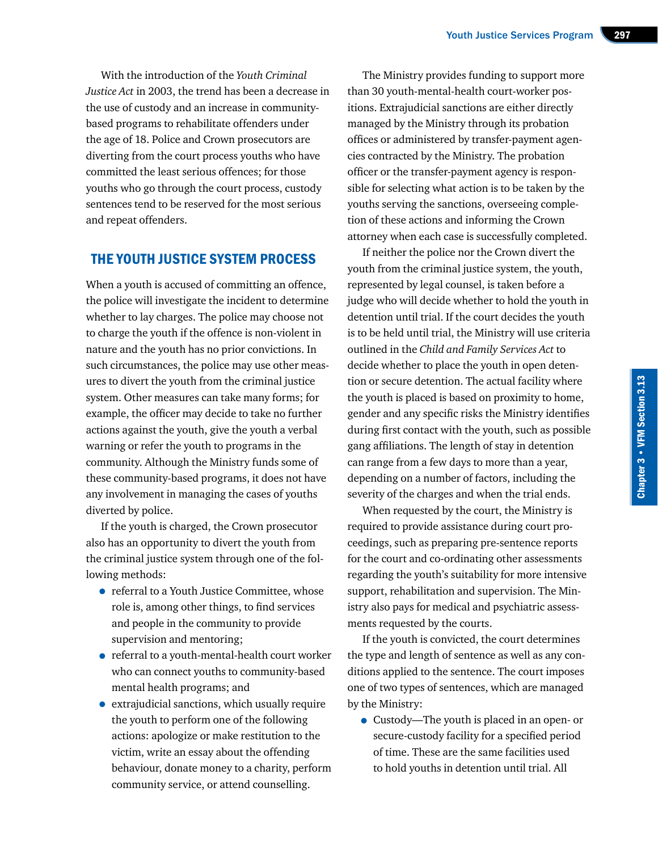With the introduction of the *Youth Criminal Justice Act* in 2003, the trend has been a decrease in the use of custody and an increase in communitybased programs to rehabilitate offenders under the age of 18. Police and Crown prosecutors are diverting from the court process youths who have committed the least serious offences; for those youths who go through the court process, custody sentences tend to be reserved for the most serious and repeat offenders.

# THE YOUTH JUSTICE SYSTEM PROCESS

When a youth is accused of committing an offence, the police will investigate the incident to determine whether to lay charges. The police may choose not to charge the youth if the offence is non-violent in nature and the youth has no prior convictions. In such circumstances, the police may use other measures to divert the youth from the criminal justice system. Other measures can take many forms; for example, the officer may decide to take no further actions against the youth, give the youth a verbal warning or refer the youth to programs in the community. Although the Ministry funds some of these community-based programs, it does not have any involvement in managing the cases of youths diverted by police.

If the youth is charged, the Crown prosecutor also has an opportunity to divert the youth from the criminal justice system through one of the following methods:

- referral to a Youth Justice Committee, whose role is, among other things, to find services and people in the community to provide supervision and mentoring;
- referral to a youth-mental-health court worker who can connect youths to community-based mental health programs; and
- extrajudicial sanctions, which usually require the youth to perform one of the following actions: apologize or make restitution to the victim, write an essay about the offending behaviour, donate money to a charity, perform community service, or attend counselling.

The Ministry provides funding to support more than 30 youth-mental-health court-worker positions. Extrajudicial sanctions are either directly managed by the Ministry through its probation offices or administered by transfer-payment agencies contracted by the Ministry. The probation officer or the transfer-payment agency is responsible for selecting what action is to be taken by the youths serving the sanctions, overseeing completion of these actions and informing the Crown attorney when each case is successfully completed.

If neither the police nor the Crown divert the youth from the criminal justice system, the youth, represented by legal counsel, is taken before a judge who will decide whether to hold the youth in detention until trial. If the court decides the youth is to be held until trial, the Ministry will use criteria outlined in the *Child and Family Services Act* to decide whether to place the youth in open detention or secure detention. The actual facility where the youth is placed is based on proximity to home, gender and any specific risks the Ministry identifies during first contact with the youth, such as possible gang affiliations. The length of stay in detention can range from a few days to more than a year, depending on a number of factors, including the severity of the charges and when the trial ends.

When requested by the court, the Ministry is required to provide assistance during court proceedings, such as preparing pre-sentence reports for the court and co-ordinating other assessments regarding the youth's suitability for more intensive support, rehabilitation and supervision. The Ministry also pays for medical and psychiatric assessments requested by the courts.

If the youth is convicted, the court determines the type and length of sentence as well as any conditions applied to the sentence. The court imposes one of two types of sentences, which are managed by the Ministry:

• Custody—The youth is placed in an open- or secure-custody facility for a specified period of time. These are the same facilities used to hold youths in detention until trial. All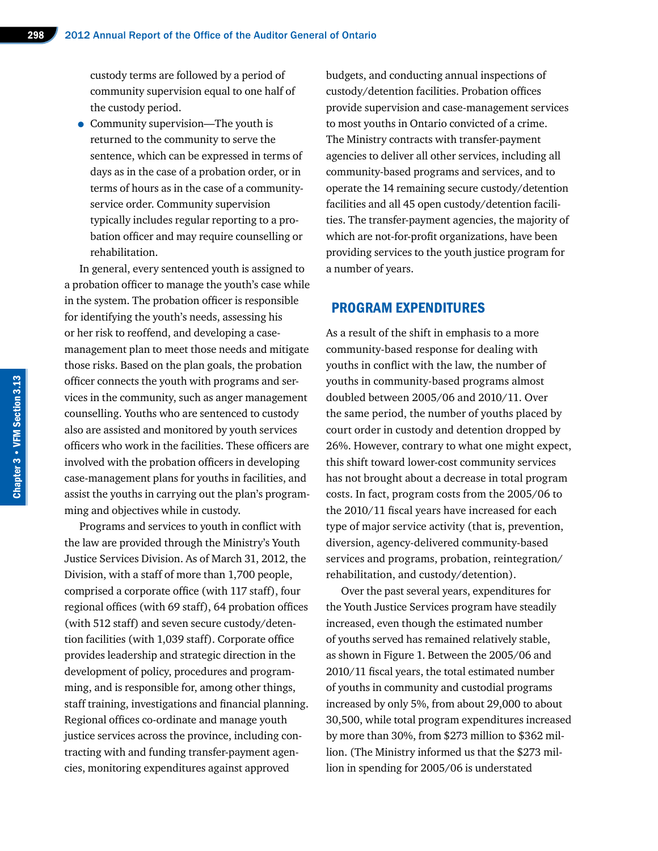custody terms are followed by a period of community supervision equal to one half of the custody period.

• Community supervision—The youth is returned to the community to serve the sentence, which can be expressed in terms of days as in the case of a probation order, or in terms of hours as in the case of a communityservice order. Community supervision typically includes regular reporting to a probation officer and may require counselling or rehabilitation.

In general, every sentenced youth is assigned to a probation officer to manage the youth's case while in the system. The probation officer is responsible for identifying the youth's needs, assessing his or her risk to reoffend, and developing a casemanagement plan to meet those needs and mitigate those risks. Based on the plan goals, the probation officer connects the youth with programs and services in the community, such as anger management counselling. Youths who are sentenced to custody also are assisted and monitored by youth services officers who work in the facilities. These officers are involved with the probation officers in developing case-management plans for youths in facilities, and assist the youths in carrying out the plan's programming and objectives while in custody.

Programs and services to youth in conflict with the law are provided through the Ministry's Youth Justice Services Division. As of March 31, 2012, the Division, with a staff of more than 1,700 people, comprised a corporate office (with 117 staff), four regional offices (with 69 staff), 64 probation offices (with 512 staff) and seven secure custody/detention facilities (with 1,039 staff). Corporate office provides leadership and strategic direction in the development of policy, procedures and programming, and is responsible for, among other things, staff training, investigations and financial planning. Regional offices co-ordinate and manage youth justice services across the province, including contracting with and funding transfer-payment agencies, monitoring expenditures against approved

budgets, and conducting annual inspections of custody/detention facilities. Probation offices provide supervision and case-management services to most youths in Ontario convicted of a crime. The Ministry contracts with transfer-payment agencies to deliver all other services, including all community-based programs and services, and to operate the 14 remaining secure custody/detention facilities and all 45 open custody/detention facilities. The transfer-payment agencies, the majority of which are not-for-profit organizations, have been providing services to the youth justice program for a number of years.

#### PROGRAM EXPENDITURES

As a result of the shift in emphasis to a more community-based response for dealing with youths in conflict with the law, the number of youths in community-based programs almost doubled between 2005/06 and 2010/11. Over the same period, the number of youths placed by court order in custody and detention dropped by 26%. However, contrary to what one might expect, this shift toward lower-cost community services has not brought about a decrease in total program costs. In fact, program costs from the 2005/06 to the 2010/11 fiscal years have increased for each type of major service activity (that is, prevention, diversion, agency-delivered community-based services and programs, probation, reintegration/ rehabilitation, and custody/detention).

Over the past several years, expenditures for the Youth Justice Services program have steadily increased, even though the estimated number of youths served has remained relatively stable, as shown in Figure 1. Between the 2005/06 and 2010/11 fiscal years, the total estimated number of youths in community and custodial programs increased by only 5%, from about 29,000 to about 30,500, while total program expenditures increased by more than 30%, from \$273 million to \$362 million. (The Ministry informed us that the \$273 million in spending for 2005/06 is understated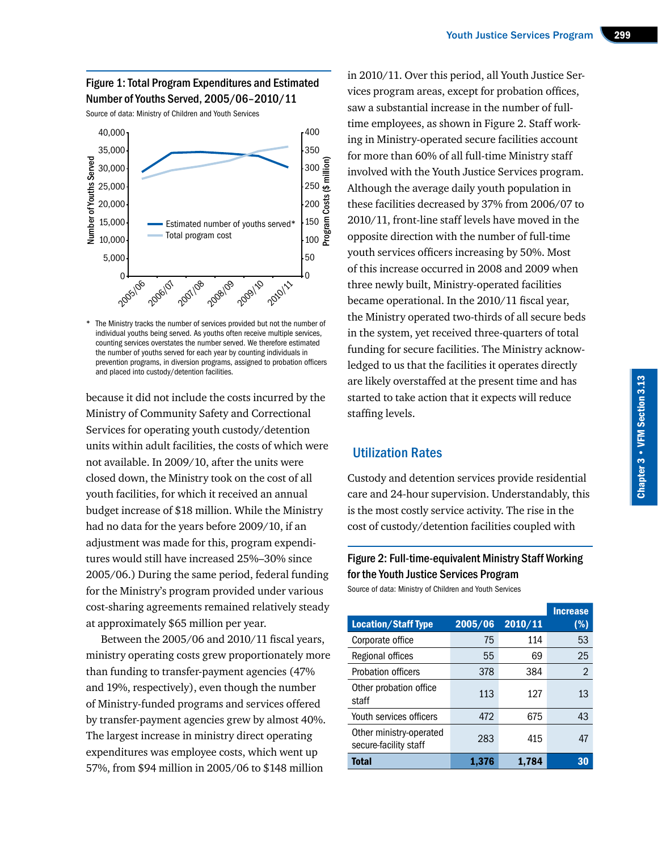# Figure 1: Total Program Expenditures and Estimated Number of Youths Served, 2005/06–2010/11

Source of data: Ministry of Children and Youth Services



The Ministry tracks the number of services provided but not the number of individual youths being served. As youths often receive multiple services, counting services overstates the number served. We therefore estimated the number of youths served for each year by counting individuals in prevention programs, in diversion programs, assigned to probation officers and placed into custody/detention facilities.

because it did not include the costs incurred by the Ministry of Community Safety and Correctional Services for operating youth custody/detention units within adult facilities, the costs of which were not available. In 2009/10, after the units were closed down, the Ministry took on the cost of all youth facilities, for which it received an annual budget increase of \$18 million. While the Ministry had no data for the years before 2009/10, if an adjustment was made for this, program expenditures would still have increased 25%–30% since 2005/06.) During the same period, federal funding for the Ministry's program provided under various cost-sharing agreements remained relatively steady at approximately \$65 million per year.

Between the 2005/06 and 2010/11 fiscal years, ministry operating costs grew proportionately more than funding to transfer-payment agencies (47% and 19%, respectively), even though the number of Ministry-funded programs and services offered by transfer-payment agencies grew by almost 40%. The largest increase in ministry direct operating expenditures was employee costs, which went up 57%, from \$94 million in 2005/06 to \$148 million

in 2010/11. Over this period, all Youth Justice Services program areas, except for probation offices, saw a substantial increase in the number of fulltime employees, as shown in Figure 2. Staff working in Ministry-operated secure facilities account for more than 60% of all full-time Ministry staff involved with the Youth Justice Services program. Although the average daily youth population in these facilities decreased by 37% from 2006/07 to 2010/11, front-line staff levels have moved in the opposite direction with the number of full-time youth services officers increasing by 50%. Most of this increase occurred in 2008 and 2009 when three newly built, Ministry-operated facilities became operational. In the 2010/11 fiscal year, the Ministry operated two-thirds of all secure beds in the system, yet received three-quarters of total funding for secure facilities. The Ministry acknowledged to us that the facilities it operates directly are likely overstaffed at the present time and has started to take action that it expects will reduce staffing levels.

# Utilization Rates

Custody and detention services provide residential care and 24-hour supervision. Understandably, this is the most costly service activity. The rise in the cost of custody/detention facilities coupled with

# Figure 2: Full-time-equivalent Ministry Staff Working for the Youth Justice Services Program

Source of data: Ministry of Children and Youth Services

|                                                  |         |         | <b>Increase</b> |
|--------------------------------------------------|---------|---------|-----------------|
| <b>Location/Staff Type</b>                       | 2005/06 | 2010/11 | $(\%)$          |
| Corporate office                                 | 75      | 114     | 53              |
| Regional offices                                 | 55      | 69      | 25              |
| <b>Probation officers</b>                        | 378     | 384     | $\mathfrak{D}$  |
| Other probation office<br>staff                  | 113     | 127     | 13              |
| Youth services officers                          | 472     | 675     | 43              |
| Other ministry-operated<br>secure-facility staff | 283     | 415     | 47              |
| <b>Total</b>                                     | 1.376   | 1.784   | 30              |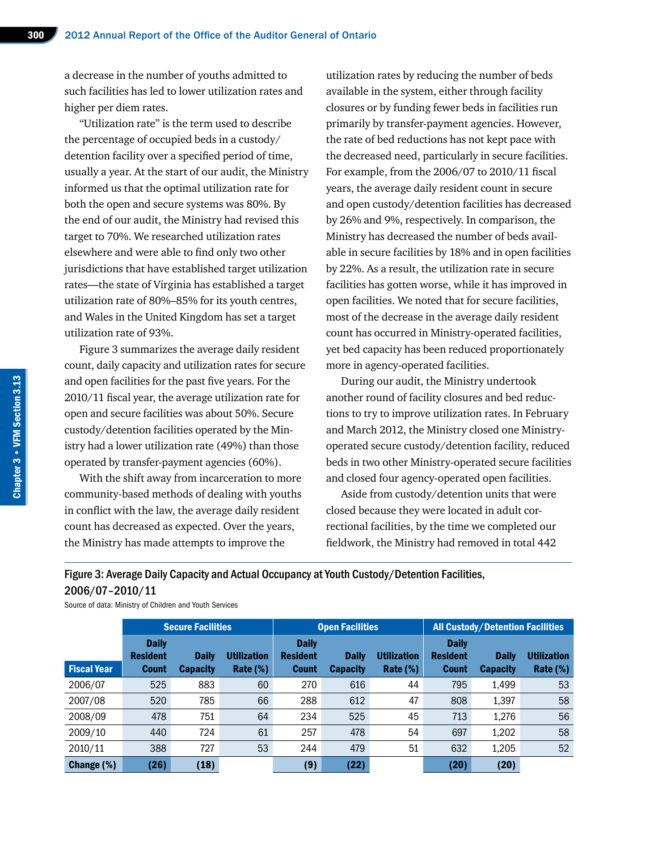a decrease in the number of youths admitted to such facilities has led to lower utilization rates and higher per diem rates.

"Utilization rate" is the term used to describe the percentage of occupied beds in a custody/ detention facility over a specified period of time, usually a year. At the start of our audit, the Ministry informed us that the optimal utilization rate for both the open and secure systems was 80%. By the end of our audit, the Ministry had revised this target to 70%. We researched utilization rates elsewhere and were able to find only two other jurisdictions that have established target utilization rates—the state of Virginia has established a target utilization rate of 80%–85% for its youth centres, and Wales in the United Kingdom has set a target utilization rate of 93%.

Figure 3 summarizes the average daily resident count, daily capacity and utilization rates for secure and open facilities for the past five years. For the 2010/11 fiscal year, the average utilization rate for open and secure facilities was about 50%. Secure custody/detention facilities operated by the Ministry had a lower utilization rate (49%) than those operated by transfer-payment agencies (60%).

With the shift away from incarceration to more community-based methods of dealing with youths in conflict with the law, the average daily resident count has decreased as expected. Over the years, the Ministry has made attempts to improve the

utilization rates by reducing the number of beds available in the system, either through facility closures or by funding fewer beds in facilities run primarily by transfer-payment agencies. However, the rate of bed reductions has not kept pace with the decreased need, particularly in secure facilities. For example, from the 2006/07 to 2010/11 fiscal years, the average daily resident count in secure and open custody/detention facilities has decreased by 26% and 9%, respectively. In comparison, the Ministry has decreased the number of beds available in secure facilities by 18% and in open facilities by 22%. As a result, the utilization rate in secure facilities has gotten worse, while it has improved in open facilities. We noted that for secure facilities, most of the decrease in the average daily resident count has occurred in Ministry-operated facilities, yet bed capacity has been reduced proportionately more in agency-operated facilities.

During our audit, the Ministry undertook another round of facility closures and bed reductions to try to improve utilization rates. In February and March 2012, the Ministry closed one Ministryoperated secure custody/detention facility, reduced beds in two other Ministry-operated secure facilities and closed four agency-operated open facilities.

Aside from custody/detention units that were closed because they were located in adult correctional facilities, by the time we completed our fieldwork, the Ministry had removed in total 442

Figure 3: Average Daily Capacity and Actual Occupancy at Youth Custody/Detention Facilities, 2006/07–2010/11

Source of data: Ministry of Children and Youth Services

|                    | Secure Facilities                               |                                 |                                       | <b>Open Facilities</b>                          |                                 |                                   | <b>All Custody/Detention Facilities</b>         |                                 |                                   |
|--------------------|-------------------------------------------------|---------------------------------|---------------------------------------|-------------------------------------------------|---------------------------------|-----------------------------------|-------------------------------------------------|---------------------------------|-----------------------------------|
| <b>Fiscal Year</b> | <b>Daily</b><br><b>Resident</b><br><b>Count</b> | <b>Daily</b><br><b>Capacity</b> | <b>Utilization</b><br><b>Rate (%)</b> | <b>Daily</b><br><b>Resident</b><br><b>Count</b> | <b>Daily</b><br><b>Capacity</b> | <b>Utilization</b><br>Rate $(\%)$ | <b>Daily</b><br><b>Resident</b><br><b>Count</b> | <b>Daily</b><br><b>Capacity</b> | <b>Utilization</b><br>Rate $(\%)$ |
| 2006/07            | 525                                             | 883                             | 60                                    | 270                                             | 616                             | 44                                | 795                                             | 1,499                           | 53                                |
| 2007/08            | 520                                             | 785                             | 66                                    | 288                                             | 612                             | 47                                | 808                                             | 1,397                           | 58                                |
| 2008/09            | 478                                             | 751                             | 64                                    | 234                                             | 525                             | 45                                | 713                                             | 1.276                           | 56                                |
| 2009/10            | 440                                             | 724                             | 61                                    | 257                                             | 478                             | 54                                | 697                                             | 1,202                           | 58                                |
| 2010/11            | 388                                             | 727                             | 53                                    | 244                                             | 479                             | 51                                | 632                                             | 1,205                           | 52                                |
| Change (%)         | (26)                                            | (18)                            |                                       | (9)                                             | (22)                            |                                   | (20)                                            | (20)                            |                                   |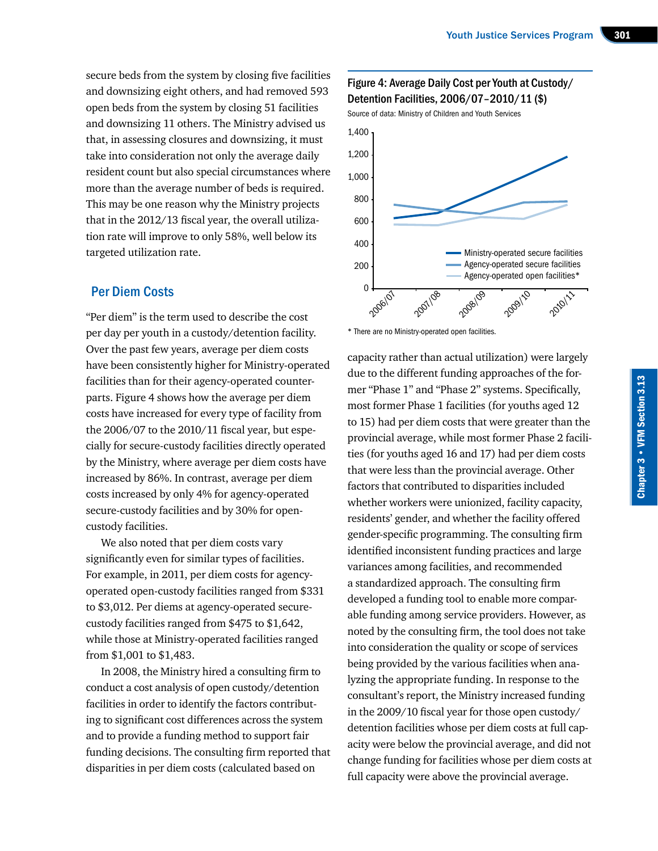secure beds from the system by closing five facilities and downsizing eight others, and had removed 593 open beds from the system by closing 51 facilities and downsizing 11 others. The Ministry advised us that, in assessing closures and downsizing, it must take into consideration not only the average daily resident count but also special circumstances where more than the average number of beds is required. This may be one reason why the Ministry projects that in the 2012/13 fiscal year, the overall utilization rate will improve to only 58%, well below its targeted utilization rate.

#### Per Diem Costs

"Per diem" is the term used to describe the cost per day per youth in a custody/detention facility. Over the past few years, average per diem costs have been consistently higher for Ministry-operated facilities than for their agency-operated counterparts. Figure 4 shows how the average per diem costs have increased for every type of facility from the 2006/07 to the 2010/11 fiscal year, but especially for secure-custody facilities directly operated by the Ministry, where average per diem costs have increased by 86%. In contrast, average per diem costs increased by only 4% for agency-operated secure-custody facilities and by 30% for opencustody facilities.

We also noted that per diem costs vary significantly even for similar types of facilities. For example, in 2011, per diem costs for agencyoperated open-custody facilities ranged from \$331 to \$3,012. Per diems at agency-operated securecustody facilities ranged from \$475 to \$1,642, while those at Ministry-operated facilities ranged from \$1,001 to \$1,483.

In 2008, the Ministry hired a consulting firm to conduct a cost analysis of open custody/detention facilities in order to identify the factors contributing to significant cost differences across the system and to provide a funding method to support fair funding decisions. The consulting firm reported that disparities in per diem costs (calculated based on

#### Figure 4: Average Daily Cost per Youth at Custody/ Detention Facilities, 2006/07–2010/11 (\$)

Source of data: Ministry of Children and Youth Services



\* There are no Ministry-operated open facilities.

capacity rather than actual utilization) were largely due to the different funding approaches of the former "Phase 1" and "Phase 2" systems. Specifically, most former Phase 1 facilities (for youths aged 12 to 15) had per diem costs that were greater than the provincial average, while most former Phase 2 facilities (for youths aged 16 and 17) had per diem costs that were less than the provincial average. Other factors that contributed to disparities included whether workers were unionized, facility capacity, residents' gender, and whether the facility offered gender-specific programming. The consulting firm identified inconsistent funding practices and large variances among facilities, and recommended a standardized approach. The consulting firm developed a funding tool to enable more comparable funding among service providers. However, as noted by the consulting firm, the tool does not take into consideration the quality or scope of services being provided by the various facilities when analyzing the appropriate funding. In response to the consultant's report, the Ministry increased funding in the 2009/10 fiscal year for those open custody/ detention facilities whose per diem costs at full capacity were below the provincial average, and did not change funding for facilities whose per diem costs at full capacity were above the provincial average.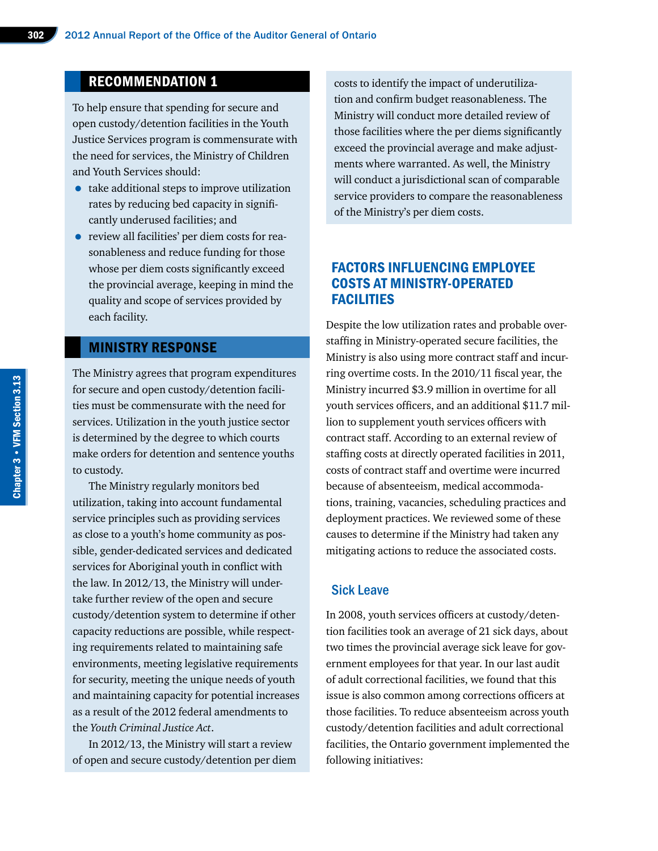# RECOMMENDATION 1

To help ensure that spending for secure and open custody/detention facilities in the Youth Justice Services program is commensurate with the need for services, the Ministry of Children and Youth Services should:

- take additional steps to improve utilization rates by reducing bed capacity in significantly underused facilities; and
- review all facilities' per diem costs for reasonableness and reduce funding for those whose per diem costs significantly exceed the provincial average, keeping in mind the quality and scope of services provided by each facility.

#### MINISTRY RESPONSE

The Ministry agrees that program expenditures for secure and open custody/detention facilities must be commensurate with the need for services. Utilization in the youth justice sector is determined by the degree to which courts make orders for detention and sentence youths to custody.

The Ministry regularly monitors bed utilization, taking into account fundamental service principles such as providing services as close to a youth's home community as possible, gender-dedicated services and dedicated services for Aboriginal youth in conflict with the law. In 2012/13, the Ministry will undertake further review of the open and secure custody/detention system to determine if other capacity reductions are possible, while respecting requirements related to maintaining safe environments, meeting legislative requirements for security, meeting the unique needs of youth and maintaining capacity for potential increases as a result of the 2012 federal amendments to the *Youth Criminal Justice Act*.

In 2012/13, the Ministry will start a review of open and secure custody/detention per diem costs to identify the impact of underutilization and confirm budget reasonableness. The Ministry will conduct more detailed review of those facilities where the per diems significantly exceed the provincial average and make adjustments where warranted. As well, the Ministry will conduct a jurisdictional scan of comparable service providers to compare the reasonableness of the Ministry's per diem costs.

# FACTORS INFLUENCING EMPLOYEE COSTS AT MINISTRY-OPERATED **FACILITIES**

Despite the low utilization rates and probable overstaffing in Ministry-operated secure facilities, the Ministry is also using more contract staff and incurring overtime costs. In the 2010/11 fiscal year, the Ministry incurred \$3.9 million in overtime for all youth services officers, and an additional \$11.7 million to supplement youth services officers with contract staff. According to an external review of staffing costs at directly operated facilities in 2011, costs of contract staff and overtime were incurred because of absenteeism, medical accommodations, training, vacancies, scheduling practices and deployment practices. We reviewed some of these causes to determine if the Ministry had taken any mitigating actions to reduce the associated costs.

#### Sick Leave

In 2008, youth services officers at custody/detention facilities took an average of 21 sick days, about two times the provincial average sick leave for government employees for that year. In our last audit of adult correctional facilities, we found that this issue is also common among corrections officers at those facilities. To reduce absenteeism across youth custody/detention facilities and adult correctional facilities, the Ontario government implemented the following initiatives: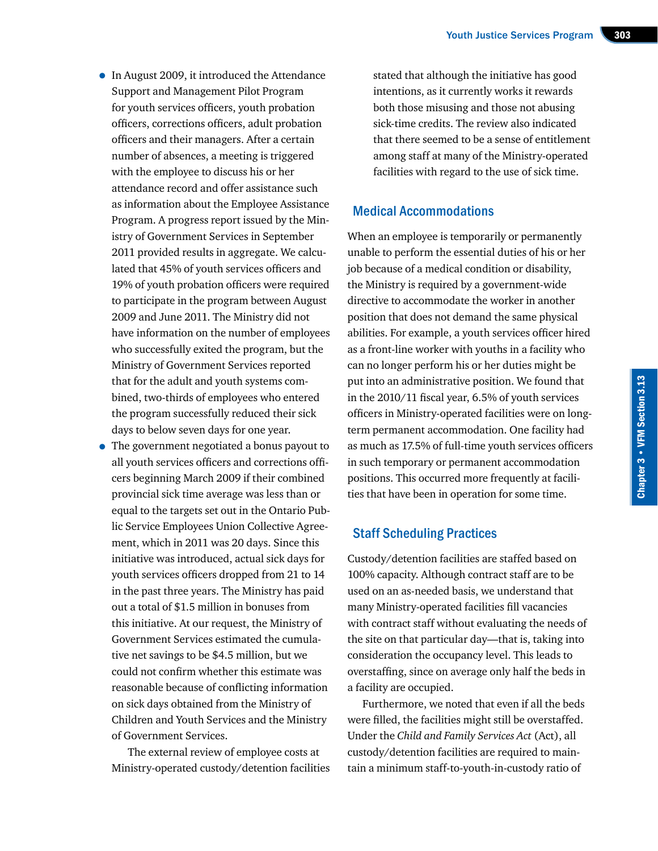- In August 2009, it introduced the Attendance Support and Management Pilot Program for youth services officers, youth probation officers, corrections officers, adult probation officers and their managers. After a certain number of absences, a meeting is triggered with the employee to discuss his or her attendance record and offer assistance such as information about the Employee Assistance Program. A progress report issued by the Ministry of Government Services in September 2011 provided results in aggregate. We calculated that 45% of youth services officers and 19% of youth probation officers were required to participate in the program between August 2009 and June 2011. The Ministry did not have information on the number of employees who successfully exited the program, but the Ministry of Government Services reported that for the adult and youth systems combined, two-thirds of employees who entered the program successfully reduced their sick days to below seven days for one year.
- The government negotiated a bonus payout to all youth services officers and corrections officers beginning March 2009 if their combined provincial sick time average was less than or equal to the targets set out in the Ontario Public Service Employees Union Collective Agreement, which in 2011 was 20 days. Since this initiative was introduced, actual sick days for youth services officers dropped from 21 to 14 in the past three years. The Ministry has paid out a total of \$1.5 million in bonuses from this initiative. At our request, the Ministry of Government Services estimated the cumulative net savings to be \$4.5 million, but we could not confirm whether this estimate was reasonable because of conflicting information on sick days obtained from the Ministry of Children and Youth Services and the Ministry of Government Services.

The external review of employee costs at Ministry-operated custody/detention facilities stated that although the initiative has good intentions, as it currently works it rewards both those misusing and those not abusing sick-time credits. The review also indicated that there seemed to be a sense of entitlement among staff at many of the Ministry-operated facilities with regard to the use of sick time.

#### Medical Accommodations

When an employee is temporarily or permanently unable to perform the essential duties of his or her job because of a medical condition or disability, the Ministry is required by a government-wide directive to accommodate the worker in another position that does not demand the same physical abilities. For example, a youth services officer hired as a front-line worker with youths in a facility who can no longer perform his or her duties might be put into an administrative position. We found that in the 2010/11 fiscal year, 6.5% of youth services officers in Ministry-operated facilities were on longterm permanent accommodation. One facility had as much as 17.5% of full-time youth services officers in such temporary or permanent accommodation positions. This occurred more frequently at facilities that have been in operation for some time.

# Staff Scheduling Practices

Custody/detention facilities are staffed based on 100% capacity. Although contract staff are to be used on an as-needed basis, we understand that many Ministry-operated facilities fill vacancies with contract staff without evaluating the needs of the site on that particular day—that is, taking into consideration the occupancy level. This leads to overstaffing, since on average only half the beds in a facility are occupied.

Furthermore, we noted that even if all the beds were filled, the facilities might still be overstaffed. Under the *Child and Family Services Act* (Act), all custody/detention facilities are required to maintain a minimum staff-to-youth-in-custody ratio of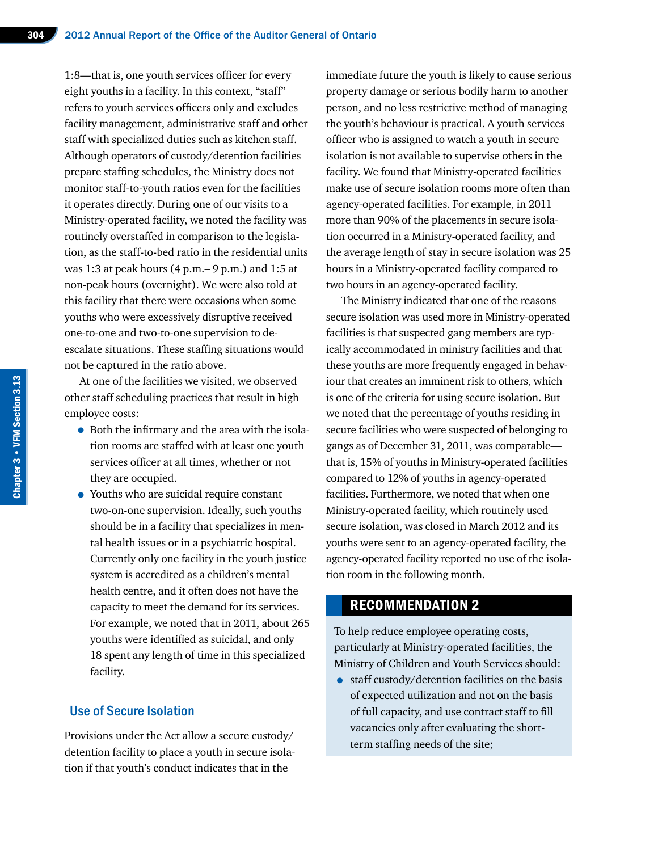1:8—that is, one youth services officer for every eight youths in a facility. In this context, "staff" refers to youth services officers only and excludes facility management, administrative staff and other staff with specialized duties such as kitchen staff. Although operators of custody/detention facilities prepare staffing schedules, the Ministry does not monitor staff-to-youth ratios even for the facilities it operates directly. During one of our visits to a Ministry-operated facility, we noted the facility was routinely overstaffed in comparison to the legislation, as the staff-to-bed ratio in the residential units was 1:3 at peak hours (4 p.m.– 9 p.m.) and 1:5 at non-peak hours (overnight). We were also told at this facility that there were occasions when some youths who were excessively disruptive received one-to-one and two-to-one supervision to deescalate situations. These staffing situations would not be captured in the ratio above.

At one of the facilities we visited, we observed other staff scheduling practices that result in high employee costs:

- Both the infirmary and the area with the isolation rooms are staffed with at least one youth services officer at all times, whether or not they are occupied.
- Youths who are suicidal require constant two-on-one supervision. Ideally, such youths should be in a facility that specializes in mental health issues or in a psychiatric hospital. Currently only one facility in the youth justice system is accredited as a children's mental health centre, and it often does not have the capacity to meet the demand for its services. For example, we noted that in 2011, about 265 youths were identified as suicidal, and only 18 spent any length of time in this specialized facility.

#### Use of Secure Isolation

Provisions under the Act allow a secure custody/ detention facility to place a youth in secure isolation if that youth's conduct indicates that in the

immediate future the youth is likely to cause serious property damage or serious bodily harm to another person, and no less restrictive method of managing the youth's behaviour is practical. A youth services officer who is assigned to watch a youth in secure isolation is not available to supervise others in the facility. We found that Ministry-operated facilities make use of secure isolation rooms more often than agency-operated facilities. For example, in 2011 more than 90% of the placements in secure isolation occurred in a Ministry-operated facility, and the average length of stay in secure isolation was 25 hours in a Ministry-operated facility compared to two hours in an agency-operated facility.

The Ministry indicated that one of the reasons secure isolation was used more in Ministry-operated facilities is that suspected gang members are typically accommodated in ministry facilities and that these youths are more frequently engaged in behaviour that creates an imminent risk to others, which is one of the criteria for using secure isolation. But we noted that the percentage of youths residing in secure facilities who were suspected of belonging to gangs as of December 31, 2011, was comparable that is, 15% of youths in Ministry-operated facilities compared to 12% of youths in agency-operated facilities. Furthermore, we noted that when one Ministry-operated facility, which routinely used secure isolation, was closed in March 2012 and its youths were sent to an agency-operated facility, the agency-operated facility reported no use of the isolation room in the following month.

# RECOMMENDATION 2

To help reduce employee operating costs, particularly at Ministry-operated facilities, the Ministry of Children and Youth Services should:

• staff custody/detention facilities on the basis of expected utilization and not on the basis of full capacity, and use contract staff to fill vacancies only after evaluating the shortterm staffing needs of the site;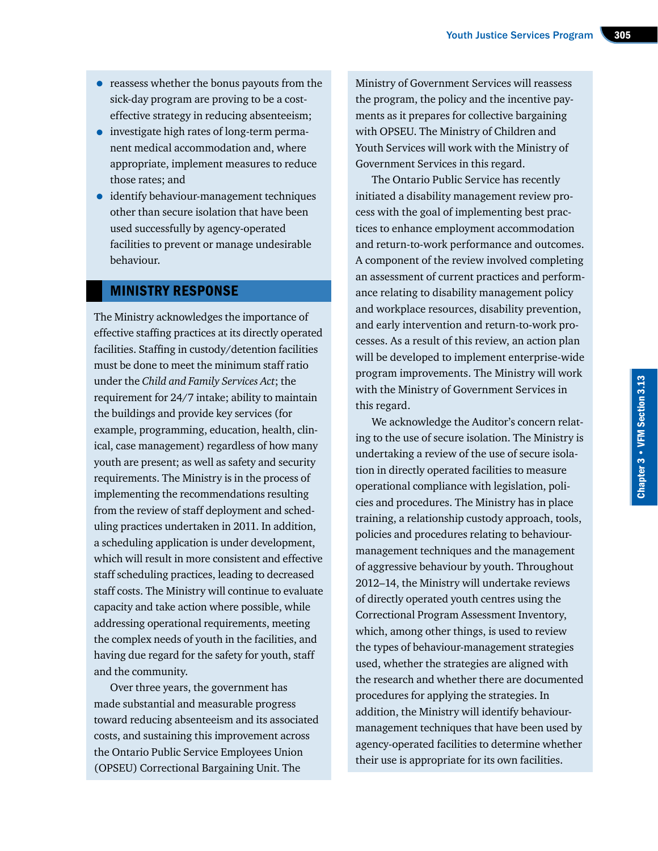- reassess whether the bonus payouts from the sick-day program are proving to be a costeffective strategy in reducing absenteeism;
- investigate high rates of long-term permanent medical accommodation and, where appropriate, implement measures to reduce those rates; and
- identify behaviour-management techniques other than secure isolation that have been used successfully by agency-operated facilities to prevent or manage undesirable behaviour.

#### MINISTRY RESPONSE

The Ministry acknowledges the importance of effective staffing practices at its directly operated facilities. Staffing in custody/detention facilities must be done to meet the minimum staff ratio under the *Child and Family Services Act*; the requirement for 24/7 intake; ability to maintain the buildings and provide key services (for example, programming, education, health, clinical, case management) regardless of how many youth are present; as well as safety and security requirements. The Ministry is in the process of implementing the recommendations resulting from the review of staff deployment and scheduling practices undertaken in 2011. In addition, a scheduling application is under development, which will result in more consistent and effective staff scheduling practices, leading to decreased staff costs. The Ministry will continue to evaluate capacity and take action where possible, while addressing operational requirements, meeting the complex needs of youth in the facilities, and having due regard for the safety for youth, staff and the community.

Over three years, the government has made substantial and measurable progress toward reducing absenteeism and its associated costs, and sustaining this improvement across the Ontario Public Service Employees Union (OPSEU) Correctional Bargaining Unit. The

Ministry of Government Services will reassess the program, the policy and the incentive payments as it prepares for collective bargaining with OPSEU. The Ministry of Children and Youth Services will work with the Ministry of Government Services in this regard.

The Ontario Public Service has recently initiated a disability management review process with the goal of implementing best practices to enhance employment accommodation and return-to-work performance and outcomes. A component of the review involved completing an assessment of current practices and performance relating to disability management policy and workplace resources, disability prevention, and early intervention and return-to-work processes. As a result of this review, an action plan will be developed to implement enterprise-wide program improvements. The Ministry will work with the Ministry of Government Services in this regard.

We acknowledge the Auditor's concern relating to the use of secure isolation. The Ministry is undertaking a review of the use of secure isolation in directly operated facilities to measure operational compliance with legislation, policies and procedures. The Ministry has in place training, a relationship custody approach, tools, policies and procedures relating to behaviourmanagement techniques and the management of aggressive behaviour by youth. Throughout 2012–14, the Ministry will undertake reviews of directly operated youth centres using the Correctional Program Assessment Inventory, which, among other things, is used to review the types of behaviour-management strategies used, whether the strategies are aligned with the research and whether there are documented procedures for applying the strategies. In addition, the Ministry will identify behaviourmanagement techniques that have been used by agency-operated facilities to determine whether their use is appropriate for its own facilities.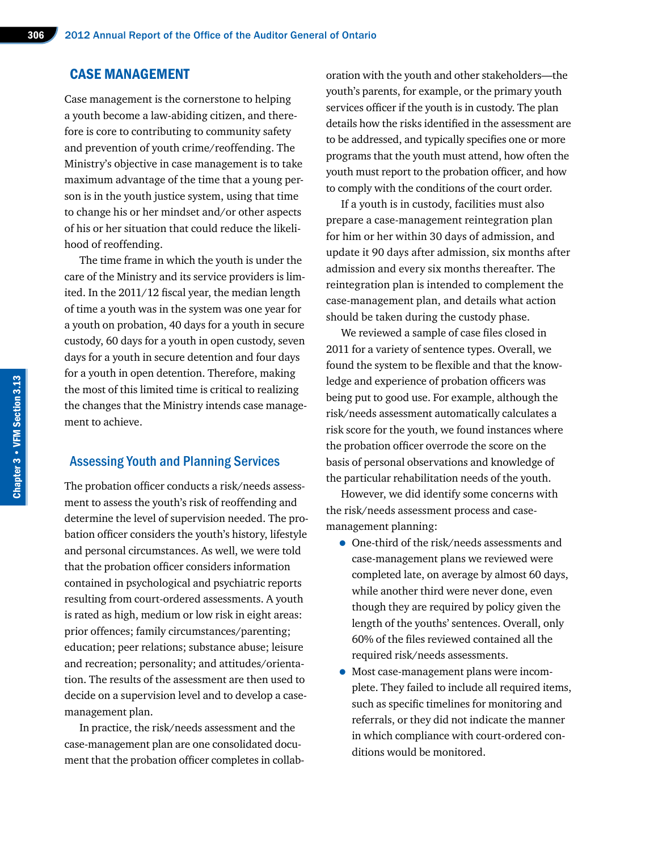#### CASE MANAGEMENT

Case management is the cornerstone to helping a youth become a law-abiding citizen, and therefore is core to contributing to community safety and prevention of youth crime/reoffending. The Ministry's objective in case management is to take maximum advantage of the time that a young person is in the youth justice system, using that time to change his or her mindset and/or other aspects of his or her situation that could reduce the likelihood of reoffending.

The time frame in which the youth is under the care of the Ministry and its service providers is limited. In the 2011/12 fiscal year, the median length of time a youth was in the system was one year for a youth on probation, 40 days for a youth in secure custody, 60 days for a youth in open custody, seven days for a youth in secure detention and four days for a youth in open detention. Therefore, making the most of this limited time is critical to realizing the changes that the Ministry intends case management to achieve.

#### Assessing Youth and Planning Services

The probation officer conducts a risk/needs assessment to assess the youth's risk of reoffending and determine the level of supervision needed. The probation officer considers the youth's history, lifestyle and personal circumstances. As well, we were told that the probation officer considers information contained in psychological and psychiatric reports resulting from court-ordered assessments. A youth is rated as high, medium or low risk in eight areas: prior offences; family circumstances/parenting; education; peer relations; substance abuse; leisure and recreation; personality; and attitudes/orientation. The results of the assessment are then used to decide on a supervision level and to develop a casemanagement plan.

In practice, the risk/needs assessment and the case-management plan are one consolidated document that the probation officer completes in collaboration with the youth and other stakeholders—the youth's parents, for example, or the primary youth services officer if the youth is in custody. The plan details how the risks identified in the assessment are to be addressed, and typically specifies one or more programs that the youth must attend, how often the youth must report to the probation officer, and how to comply with the conditions of the court order.

If a youth is in custody, facilities must also prepare a case-management reintegration plan for him or her within 30 days of admission, and update it 90 days after admission, six months after admission and every six months thereafter. The reintegration plan is intended to complement the case-management plan, and details what action should be taken during the custody phase.

We reviewed a sample of case files closed in 2011 for a variety of sentence types. Overall, we found the system to be flexible and that the knowledge and experience of probation officers was being put to good use. For example, although the risk/needs assessment automatically calculates a risk score for the youth, we found instances where the probation officer overrode the score on the basis of personal observations and knowledge of the particular rehabilitation needs of the youth.

However, we did identify some concerns with the risk/needs assessment process and casemanagement planning:

- One-third of the risk/needs assessments and case-management plans we reviewed were completed late, on average by almost 60 days, while another third were never done, even though they are required by policy given the length of the youths' sentences. Overall, only 60% of the files reviewed contained all the required risk/needs assessments.
- Most case-management plans were incomplete. They failed to include all required items, such as specific timelines for monitoring and referrals, or they did not indicate the manner in which compliance with court-ordered conditions would be monitored.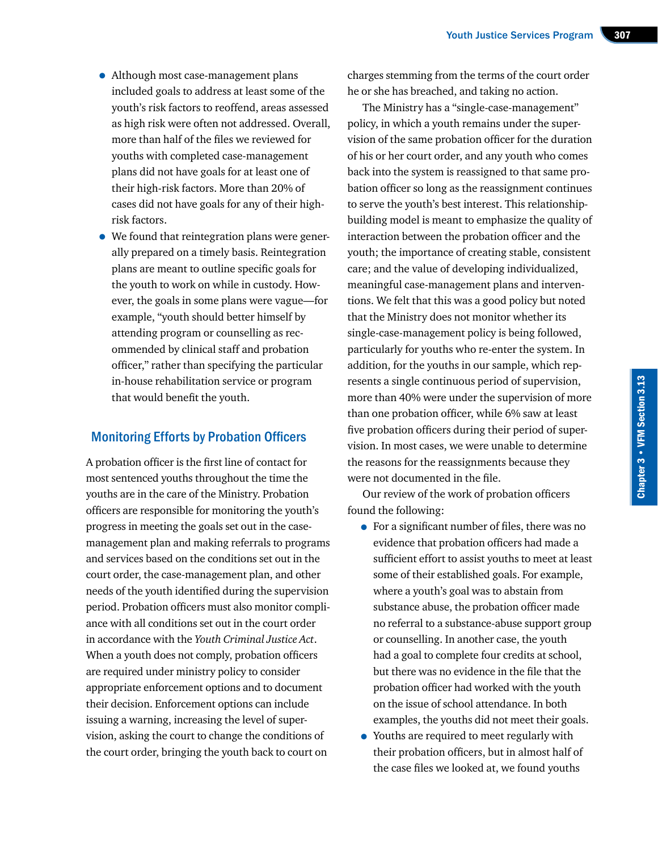- Although most case-management plans included goals to address at least some of the youth's risk factors to reoffend, areas assessed as high risk were often not addressed. Overall, more than half of the files we reviewed for youths with completed case-management plans did not have goals for at least one of their high-risk factors. More than 20% of cases did not have goals for any of their highrisk factors.
- We found that reintegration plans were generally prepared on a timely basis. Reintegration plans are meant to outline specific goals for the youth to work on while in custody. However, the goals in some plans were vague—for example, "youth should better himself by attending program or counselling as recommended by clinical staff and probation officer," rather than specifying the particular in-house rehabilitation service or program that would benefit the youth.

# Monitoring Efforts by Probation Officers

A probation officer is the first line of contact for most sentenced youths throughout the time the youths are in the care of the Ministry. Probation officers are responsible for monitoring the youth's progress in meeting the goals set out in the casemanagement plan and making referrals to programs and services based on the conditions set out in the court order, the case-management plan, and other needs of the youth identified during the supervision period. Probation officers must also monitor compliance with all conditions set out in the court order in accordance with the *Youth Criminal Justice Act*. When a youth does not comply, probation officers are required under ministry policy to consider appropriate enforcement options and to document their decision. Enforcement options can include issuing a warning, increasing the level of supervision, asking the court to change the conditions of the court order, bringing the youth back to court on

charges stemming from the terms of the court order he or she has breached, and taking no action.

The Ministry has a "single-case-management" policy, in which a youth remains under the supervision of the same probation officer for the duration of his or her court order, and any youth who comes back into the system is reassigned to that same probation officer so long as the reassignment continues to serve the youth's best interest. This relationshipbuilding model is meant to emphasize the quality of interaction between the probation officer and the youth; the importance of creating stable, consistent care; and the value of developing individualized, meaningful case-management plans and interventions. We felt that this was a good policy but noted that the Ministry does not monitor whether its single-case-management policy is being followed, particularly for youths who re-enter the system. In addition, for the youths in our sample, which represents a single continuous period of supervision, more than 40% were under the supervision of more than one probation officer, while 6% saw at least five probation officers during their period of supervision. In most cases, we were unable to determine the reasons for the reassignments because they were not documented in the file.

Our review of the work of probation officers found the following:

- For a significant number of files, there was no evidence that probation officers had made a sufficient effort to assist youths to meet at least some of their established goals. For example, where a youth's goal was to abstain from substance abuse, the probation officer made no referral to a substance-abuse support group or counselling. In another case, the youth had a goal to complete four credits at school, but there was no evidence in the file that the probation officer had worked with the youth on the issue of school attendance. In both examples, the youths did not meet their goals.
- Youths are required to meet regularly with their probation officers, but in almost half of the case files we looked at, we found youths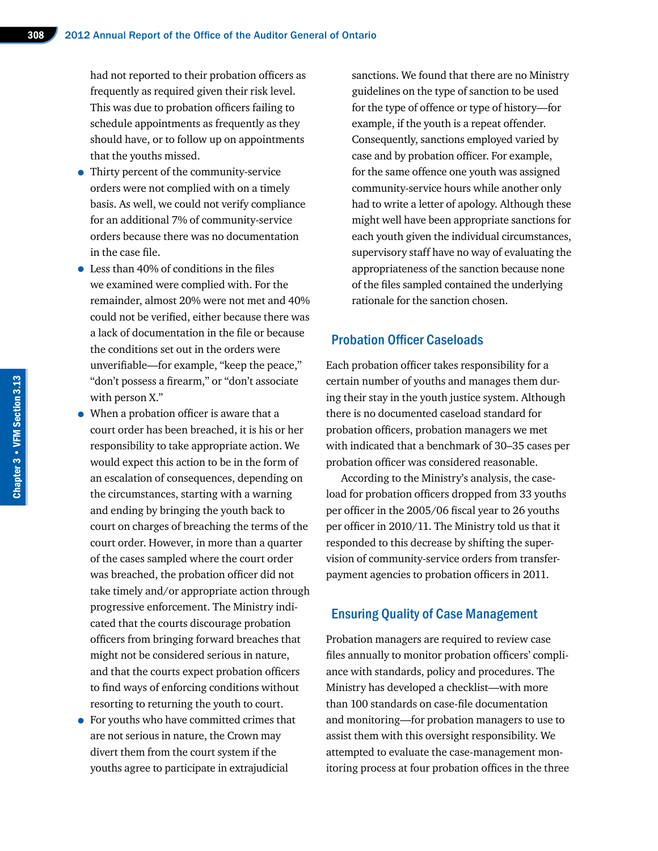had not reported to their probation officers as frequently as required given their risk level. This was due to probation officers failing to schedule appointments as frequently as they should have, or to follow up on appointments that the youths missed.

- Thirty percent of the community-service orders were not complied with on a timely basis. As well, we could not verify compliance for an additional 7% of community-service orders because there was no documentation in the case file.
- Less than 40% of conditions in the files we examined were complied with. For the remainder, almost 20% were not met and 40% could not be verified, either because there was a lack of documentation in the file or because the conditions set out in the orders were unverifiable—for example, "keep the peace," "don't possess a firearm," or "don't associate with person X."
- When a probation officer is aware that a court order has been breached, it is his or her responsibility to take appropriate action. We would expect this action to be in the form of an escalation of consequences, depending on the circumstances, starting with a warning and ending by bringing the youth back to court on charges of breaching the terms of the court order. However, in more than a quarter of the cases sampled where the court order was breached, the probation officer did not take timely and/or appropriate action through progressive enforcement. The Ministry indicated that the courts discourage probation officers from bringing forward breaches that might not be considered serious in nature, and that the courts expect probation officers to find ways of enforcing conditions without resorting to returning the youth to court.
- For youths who have committed crimes that are not serious in nature, the Crown may divert them from the court system if the youths agree to participate in extrajudicial

sanctions. We found that there are no Ministry guidelines on the type of sanction to be used for the type of offence or type of history—for example, if the youth is a repeat offender. Consequently, sanctions employed varied by case and by probation officer. For example, for the same offence one youth was assigned community-service hours while another only had to write a letter of apology. Although these might well have been appropriate sanctions for each youth given the individual circumstances, supervisory staff have no way of evaluating the appropriateness of the sanction because none of the files sampled contained the underlying rationale for the sanction chosen.

#### Probation Officer Caseloads

Each probation officer takes responsibility for a certain number of youths and manages them during their stay in the youth justice system. Although there is no documented caseload standard for probation officers, probation managers we met with indicated that a benchmark of 30–35 cases per probation officer was considered reasonable.

According to the Ministry's analysis, the caseload for probation officers dropped from 33 youths per officer in the 2005/06 fiscal year to 26 youths per officer in 2010/11. The Ministry told us that it responded to this decrease by shifting the supervision of community-service orders from transferpayment agencies to probation officers in 2011.

#### Ensuring Quality of Case Management

Probation managers are required to review case files annually to monitor probation officers' compliance with standards, policy and procedures. The Ministry has developed a checklist—with more than 100 standards on case-file documentation and monitoring—for probation managers to use to assist them with this oversight responsibility. We attempted to evaluate the case-management monitoring process at four probation offices in the three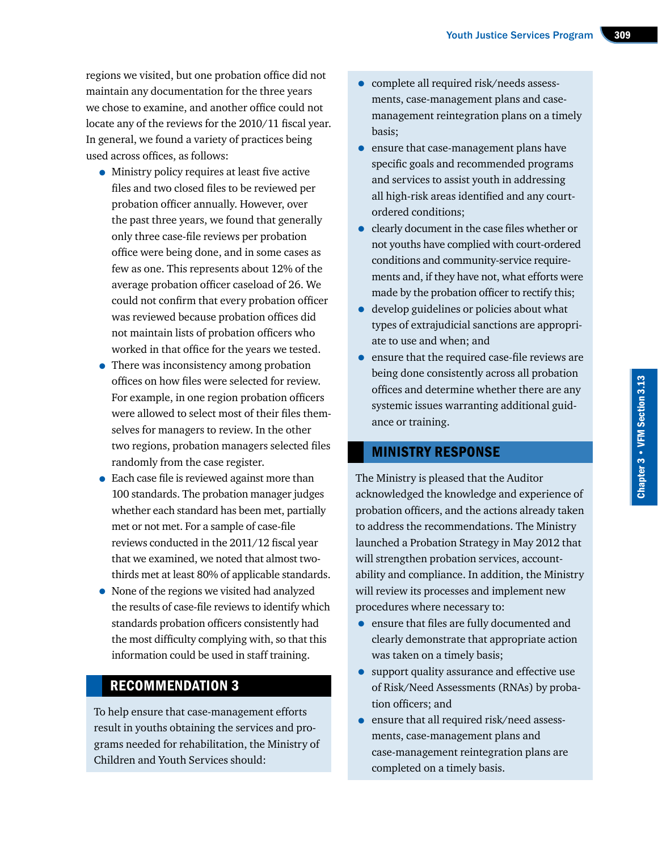regions we visited, but one probation office did not maintain any documentation for the three years we chose to examine, and another office could not locate any of the reviews for the 2010/11 fiscal year. In general, we found a variety of practices being used across offices, as follows:

- Ministry policy requires at least five active files and two closed files to be reviewed per probation officer annually. However, over the past three years, we found that generally only three case-file reviews per probation office were being done, and in some cases as few as one. This represents about 12% of the average probation officer caseload of 26. We could not confirm that every probation officer was reviewed because probation offices did not maintain lists of probation officers who worked in that office for the years we tested.
- There was inconsistency among probation offices on how files were selected for review. For example, in one region probation officers were allowed to select most of their files themselves for managers to review. In the other two regions, probation managers selected files randomly from the case register.
- Each case file is reviewed against more than 100 standards. The probation manager judges whether each standard has been met, partially met or not met. For a sample of case-file reviews conducted in the 2011/12 fiscal year that we examined, we noted that almost twothirds met at least 80% of applicable standards.
- None of the regions we visited had analyzed the results of case-file reviews to identify which standards probation officers consistently had the most difficulty complying with, so that this information could be used in staff training.

# RECOMMENDATION 3

To help ensure that case-management efforts result in youths obtaining the services and programs needed for rehabilitation, the Ministry of Children and Youth Services should:

- complete all required risk/needs assessments, case-management plans and casemanagement reintegration plans on a timely basis;
- ensure that case-management plans have specific goals and recommended programs and services to assist youth in addressing all high-risk areas identified and any courtordered conditions;
- clearly document in the case files whether or not youths have complied with court-ordered conditions and community-service requirements and, if they have not, what efforts were made by the probation officer to rectify this;
- develop guidelines or policies about what types of extrajudicial sanctions are appropriate to use and when; and
- ensure that the required case-file reviews are being done consistently across all probation offices and determine whether there are any systemic issues warranting additional guidance or training.

# MINISTRY RESPONSE

The Ministry is pleased that the Auditor acknowledged the knowledge and experience of probation officers, and the actions already taken to address the recommendations. The Ministry launched a Probation Strategy in May 2012 that will strengthen probation services, accountability and compliance. In addition, the Ministry will review its processes and implement new procedures where necessary to:

- ensure that files are fully documented and clearly demonstrate that appropriate action was taken on a timely basis;
- support quality assurance and effective use of Risk/Need Assessments (RNAs) by probation officers; and
- ensure that all required risk/need assessments, case-management plans and case-management reintegration plans are completed on a timely basis.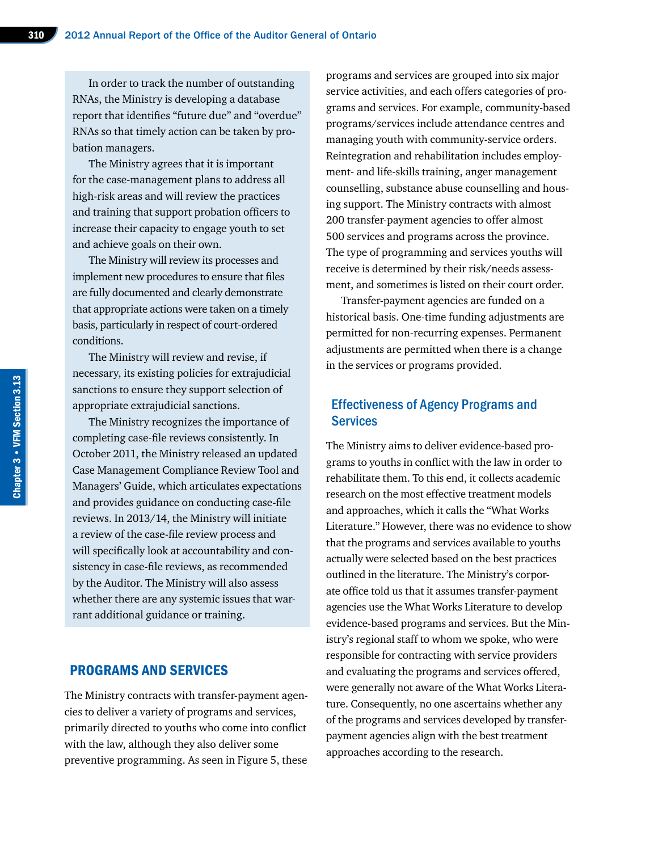In order to track the number of outstanding RNAs, the Ministry is developing a database report that identifies "future due" and "overdue" RNAs so that timely action can be taken by probation managers.

The Ministry agrees that it is important for the case-management plans to address all high-risk areas and will review the practices and training that support probation officers to increase their capacity to engage youth to set and achieve goals on their own.

The Ministry will review its processes and implement new procedures to ensure that files are fully documented and clearly demonstrate that appropriate actions were taken on a timely basis, particularly in respect of court-ordered conditions.

The Ministry will review and revise, if necessary, its existing policies for extrajudicial sanctions to ensure they support selection of appropriate extrajudicial sanctions.

The Ministry recognizes the importance of completing case-file reviews consistently. In October 2011, the Ministry released an updated Case Management Compliance Review Tool and Managers' Guide, which articulates expectations and provides guidance on conducting case-file reviews. In 2013/14, the Ministry will initiate a review of the case-file review process and will specifically look at accountability and consistency in case-file reviews, as recommended by the Auditor. The Ministry will also assess whether there are any systemic issues that warrant additional guidance or training.

#### PROGRAMS AND SERVICES

The Ministry contracts with transfer-payment agencies to deliver a variety of programs and services, primarily directed to youths who come into conflict with the law, although they also deliver some preventive programming. As seen in Figure 5, these

programs and services are grouped into six major service activities, and each offers categories of programs and services. For example, community-based programs/services include attendance centres and managing youth with community-service orders. Reintegration and rehabilitation includes employment- and life-skills training, anger management counselling, substance abuse counselling and housing support. The Ministry contracts with almost 200 transfer-payment agencies to offer almost 500 services and programs across the province. The type of programming and services youths will receive is determined by their risk/needs assessment, and sometimes is listed on their court order.

Transfer-payment agencies are funded on a historical basis. One-time funding adjustments are permitted for non-recurring expenses. Permanent adjustments are permitted when there is a change in the services or programs provided.

# Effectiveness of Agency Programs and **Services**

The Ministry aims to deliver evidence-based programs to youths in conflict with the law in order to rehabilitate them. To this end, it collects academic research on the most effective treatment models and approaches, which it calls the "What Works Literature." However, there was no evidence to show that the programs and services available to youths actually were selected based on the best practices outlined in the literature. The Ministry's corporate office told us that it assumes transfer-payment agencies use the What Works Literature to develop evidence-based programs and services. But the Ministry's regional staff to whom we spoke, who were responsible for contracting with service providers and evaluating the programs and services offered, were generally not aware of the What Works Literature. Consequently, no one ascertains whether any of the programs and services developed by transferpayment agencies align with the best treatment approaches according to the research.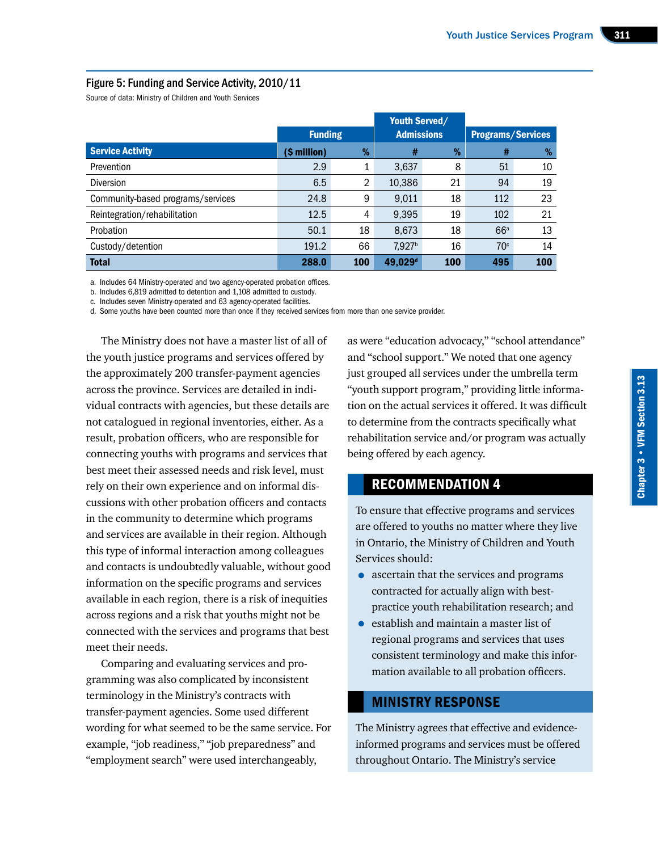#### Figure 5: Funding and Service Activity, 2010/11

Source of data: Ministry of Children and Youth Services

|                                   |                |     | <b>Youth Served/</b> |     |                          |     |
|-----------------------------------|----------------|-----|----------------------|-----|--------------------------|-----|
|                                   | <b>Funding</b> |     | <b>Admissions</b>    |     | <b>Programs/Services</b> |     |
| <b>Service Activity</b>           | (\$ million)   | %   | #                    | %   | #                        | %   |
| Prevention                        | 2.9            | 1   | 3,637                | 8   | 51                       | 10  |
| <b>Diversion</b>                  | 6.5            | 2   | 10,386               | 21  | 94                       | 19  |
| Community-based programs/services | 24.8           | 9   | 9.011                | 18  | 112                      | 23  |
| Reintegration/rehabilitation      | 12.5           | 4   | 9.395                | 19  | 102                      | 21  |
| Probation                         | 50.1           | 18  | 8,673                | 18  | 66 <sup>a</sup>          | 13  |
| Custody/detention                 | 191.2          | 66  | 7,927 <sup>b</sup>   | 16  | 70 <sup>c</sup>          | 14  |
| <b>Total</b>                      | 288.0          | 100 | 49,029 <sup>d</sup>  | 100 | 495                      | 100 |

a. Includes 64 Ministry-operated and two agency-operated probation offices.

b. Includes 6,819 admitted to detention and 1,108 admitted to custody.

c. Includes seven Ministry-operated and 63 agency-operated facilities.

d. Some youths have been counted more than once if they received services from more than one service provider.

The Ministry does not have a master list of all of the youth justice programs and services offered by the approximately 200 transfer-payment agencies across the province. Services are detailed in individual contracts with agencies, but these details are not catalogued in regional inventories, either. As a result, probation officers, who are responsible for connecting youths with programs and services that best meet their assessed needs and risk level, must rely on their own experience and on informal discussions with other probation officers and contacts in the community to determine which programs and services are available in their region. Although this type of informal interaction among colleagues and contacts is undoubtedly valuable, without good information on the specific programs and services available in each region, there is a risk of inequities across regions and a risk that youths might not be connected with the services and programs that best meet their needs.

Comparing and evaluating services and programming was also complicated by inconsistent terminology in the Ministry's contracts with transfer-payment agencies. Some used different wording for what seemed to be the same service. For example, "job readiness," "job preparedness" and "employment search" were used interchangeably,

as were "education advocacy," "school attendance" and "school support." We noted that one agency just grouped all services under the umbrella term "youth support program," providing little information on the actual services it offered. It was difficult to determine from the contracts specifically what rehabilitation service and/or program was actually being offered by each agency.

# RECOMMENDATION 4

To ensure that effective programs and services are offered to youths no matter where they live in Ontario, the Ministry of Children and Youth Services should:

- ascertain that the services and programs contracted for actually align with bestpractice youth rehabilitation research; and
- establish and maintain a master list of regional programs and services that uses consistent terminology and make this information available to all probation officers.

# MINISTRY RESPONSE

The Ministry agrees that effective and evidenceinformed programs and services must be offered throughout Ontario. The Ministry's service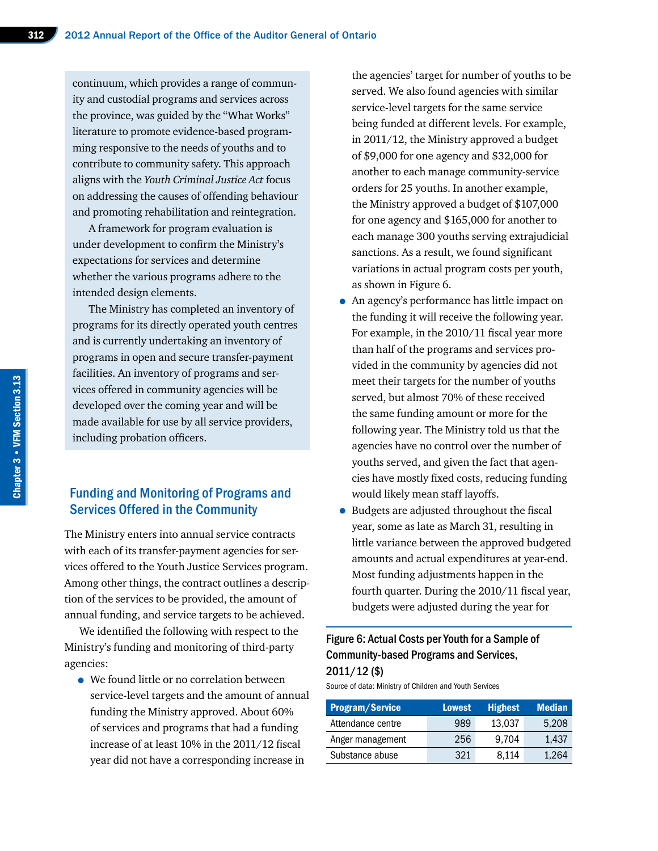continuum, which provides a range of community and custodial programs and services across the province, was guided by the "What Works" literature to promote evidence-based programming responsive to the needs of youths and to contribute to community safety. This approach aligns with the *Youth Criminal Justice Act* focus on addressing the causes of offending behaviour and promoting rehabilitation and reintegration.

A framework for program evaluation is under development to confirm the Ministry's expectations for services and determine whether the various programs adhere to the intended design elements.

The Ministry has completed an inventory of programs for its directly operated youth centres and is currently undertaking an inventory of programs in open and secure transfer-payment facilities. An inventory of programs and services offered in community agencies will be developed over the coming year and will be made available for use by all service providers, including probation officers.

# Funding and Monitoring of Programs and Services Offered in the Community

The Ministry enters into annual service contracts with each of its transfer-payment agencies for services offered to the Youth Justice Services program. Among other things, the contract outlines a description of the services to be provided, the amount of annual funding, and service targets to be achieved.

We identified the following with respect to the Ministry's funding and monitoring of third-party agencies:

• We found little or no correlation between service-level targets and the amount of annual funding the Ministry approved. About 60% of services and programs that had a funding increase of at least 10% in the 2011/12 fiscal year did not have a corresponding increase in

the agencies' target for number of youths to be served. We also found agencies with similar service-level targets for the same service being funded at different levels. For example, in 2011/12, the Ministry approved a budget of \$9,000 for one agency and \$32,000 for another to each manage community-service orders for 25 youths. In another example, the Ministry approved a budget of \$107,000 for one agency and \$165,000 for another to each manage 300 youths serving extrajudicial sanctions. As a result, we found significant variations in actual program costs per youth, as shown in Figure 6.

- An agency's performance has little impact on the funding it will receive the following year. For example, in the 2010/11 fiscal year more than half of the programs and services provided in the community by agencies did not meet their targets for the number of youths served, but almost 70% of these received the same funding amount or more for the following year. The Ministry told us that the agencies have no control over the number of youths served, and given the fact that agencies have mostly fixed costs, reducing funding would likely mean staff layoffs.
- Budgets are adjusted throughout the fiscal year, some as late as March 31, resulting in little variance between the approved budgeted amounts and actual expenditures at year-end. Most funding adjustments happen in the fourth quarter. During the 2010/11 fiscal year, budgets were adjusted during the year for

# Figure 6: Actual Costs per Youth for a Sample of Community-based Programs and Services, 2011/12 (\$)

Source of data: Ministry of Children and Youth Services

| <b>Program/Service</b> | <b>Lowest</b> | <b>Highest</b> | <b>Median</b> |
|------------------------|---------------|----------------|---------------|
| Attendance centre      | 989           | 13.037         | 5.208         |
| Anger management       | 256           | 9.704          | 1.437         |
| Substance abuse        | 321           | 8.114          | 1,264         |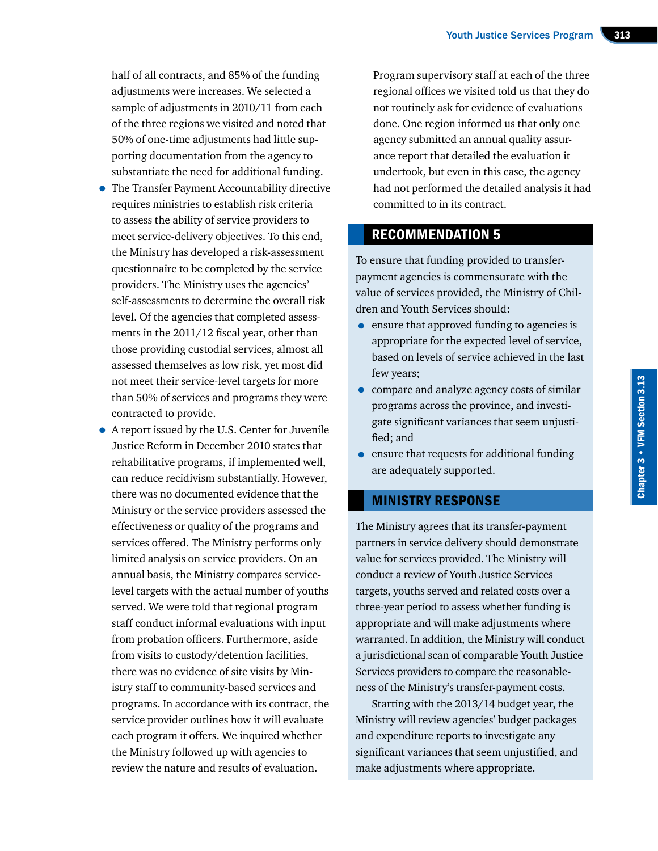half of all contracts, and 85% of the funding adjustments were increases. We selected a sample of adjustments in 2010/11 from each of the three regions we visited and noted that 50% of one-time adjustments had little supporting documentation from the agency to substantiate the need for additional funding.

- The Transfer Payment Accountability directive requires ministries to establish risk criteria to assess the ability of service providers to meet service-delivery objectives. To this end, the Ministry has developed a risk-assessment questionnaire to be completed by the service providers. The Ministry uses the agencies' self-assessments to determine the overall risk level. Of the agencies that completed assessments in the 2011/12 fiscal year, other than those providing custodial services, almost all assessed themselves as low risk, yet most did not meet their service-level targets for more than 50% of services and programs they were contracted to provide.
- A report issued by the U.S. Center for Juvenile Justice Reform in December 2010 states that rehabilitative programs, if implemented well, can reduce recidivism substantially. However, there was no documented evidence that the Ministry or the service providers assessed the effectiveness or quality of the programs and services offered. The Ministry performs only limited analysis on service providers. On an annual basis, the Ministry compares servicelevel targets with the actual number of youths served. We were told that regional program staff conduct informal evaluations with input from probation officers. Furthermore, aside from visits to custody/detention facilities, there was no evidence of site visits by Ministry staff to community-based services and programs. In accordance with its contract, the service provider outlines how it will evaluate each program it offers. We inquired whether the Ministry followed up with agencies to review the nature and results of evaluation.

Program supervisory staff at each of the three regional offices we visited told us that they do not routinely ask for evidence of evaluations done. One region informed us that only one agency submitted an annual quality assurance report that detailed the evaluation it undertook, but even in this case, the agency had not performed the detailed analysis it had committed to in its contract.

# RECOMMENDATION 5

To ensure that funding provided to transferpayment agencies is commensurate with the value of services provided, the Ministry of Children and Youth Services should:

- ensure that approved funding to agencies is appropriate for the expected level of service, based on levels of service achieved in the last few years;
- compare and analyze agency costs of similar programs across the province, and investigate significant variances that seem unjustified; and
- ensure that requests for additional funding are adequately supported.

# MINISTRY RESPONSE

The Ministry agrees that its transfer-payment partners in service delivery should demonstrate value for services provided. The Ministry will conduct a review of Youth Justice Services targets, youths served and related costs over a three-year period to assess whether funding is appropriate and will make adjustments where warranted. In addition, the Ministry will conduct a jurisdictional scan of comparable Youth Justice Services providers to compare the reasonableness of the Ministry's transfer-payment costs.

Starting with the 2013/14 budget year, the Ministry will review agencies' budget packages and expenditure reports to investigate any significant variances that seem unjustified, and make adjustments where appropriate.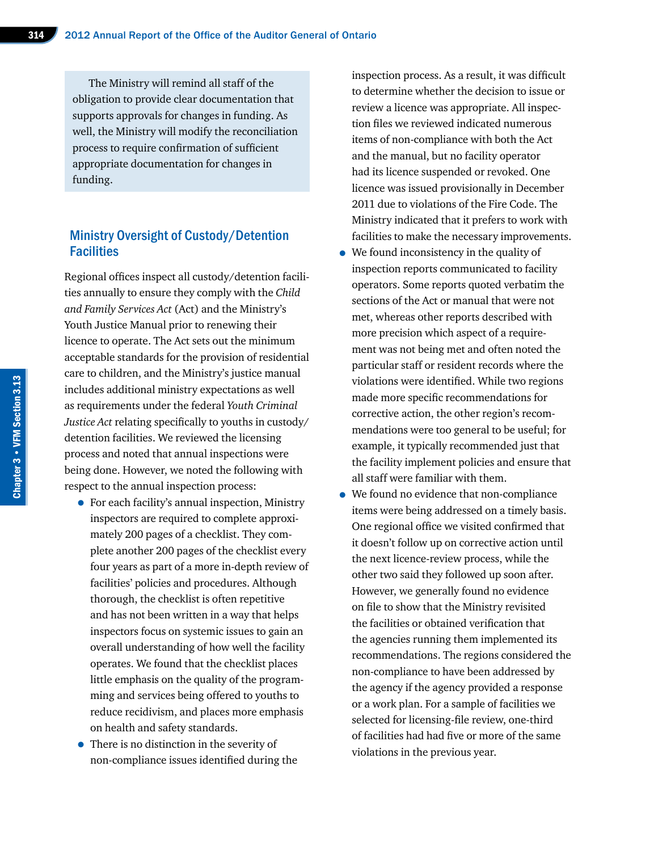The Ministry will remind all staff of the obligation to provide clear documentation that supports approvals for changes in funding. As well, the Ministry will modify the reconciliation process to require confirmation of sufficient appropriate documentation for changes in funding.

## Ministry Oversight of Custody/Detention **Facilities**

Regional offices inspect all custody/detention facilities annually to ensure they comply with the *Child and Family Services Act* (Act) and the Ministry's Youth Justice Manual prior to renewing their licence to operate. The Act sets out the minimum acceptable standards for the provision of residential care to children, and the Ministry's justice manual includes additional ministry expectations as well as requirements under the federal *Youth Criminal Justice Act* relating specifically to youths in custody/ detention facilities. We reviewed the licensing process and noted that annual inspections were being done. However, we noted the following with respect to the annual inspection process:

- For each facility's annual inspection, Ministry inspectors are required to complete approximately 200 pages of a checklist. They complete another 200 pages of the checklist every four years as part of a more in-depth review of facilities' policies and procedures. Although thorough, the checklist is often repetitive and has not been written in a way that helps inspectors focus on systemic issues to gain an overall understanding of how well the facility operates. We found that the checklist places little emphasis on the quality of the programming and services being offered to youths to reduce recidivism, and places more emphasis on health and safety standards.
- There is no distinction in the severity of non-compliance issues identified during the

inspection process. As a result, it was difficult to determine whether the decision to issue or review a licence was appropriate. All inspection files we reviewed indicated numerous items of non-compliance with both the Act and the manual, but no facility operator had its licence suspended or revoked. One licence was issued provisionally in December 2011 due to violations of the Fire Code. The Ministry indicated that it prefers to work with facilities to make the necessary improvements.

- We found inconsistency in the quality of inspection reports communicated to facility operators. Some reports quoted verbatim the sections of the Act or manual that were not met, whereas other reports described with more precision which aspect of a requirement was not being met and often noted the particular staff or resident records where the violations were identified. While two regions made more specific recommendations for corrective action, the other region's recommendations were too general to be useful; for example, it typically recommended just that the facility implement policies and ensure that all staff were familiar with them.
- We found no evidence that non-compliance items were being addressed on a timely basis. One regional office we visited confirmed that it doesn't follow up on corrective action until the next licence-review process, while the other two said they followed up soon after. However, we generally found no evidence on file to show that the Ministry revisited the facilities or obtained verification that the agencies running them implemented its recommendations. The regions considered the non-compliance to have been addressed by the agency if the agency provided a response or a work plan. For a sample of facilities we selected for licensing-file review, one-third of facilities had had five or more of the same violations in the previous year.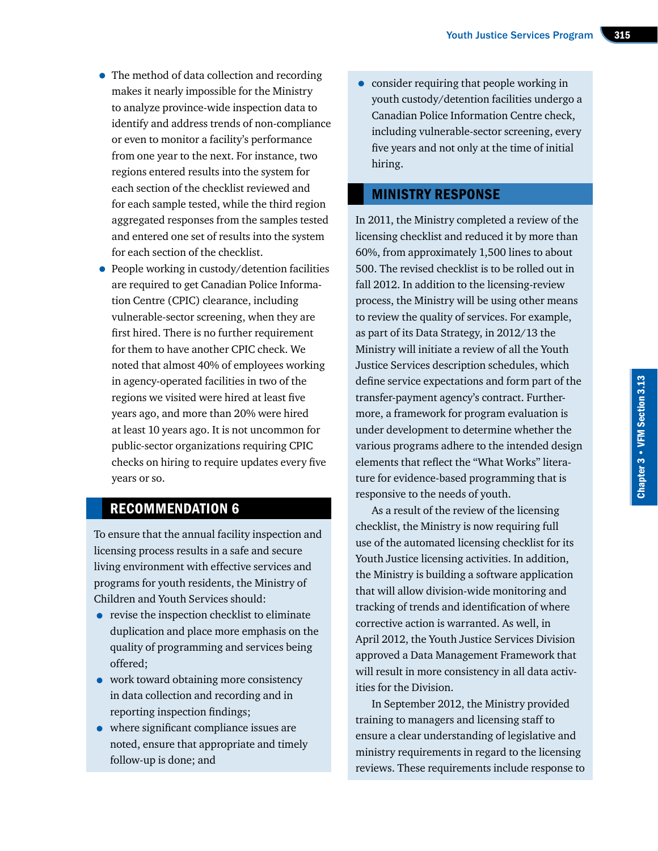- The method of data collection and recording makes it nearly impossible for the Ministry to analyze province-wide inspection data to identify and address trends of non-compliance or even to monitor a facility's performance from one year to the next. For instance, two regions entered results into the system for each section of the checklist reviewed and for each sample tested, while the third region aggregated responses from the samples tested and entered one set of results into the system for each section of the checklist.
- People working in custody/detention facilities are required to get Canadian Police Information Centre (CPIC) clearance, including vulnerable-sector screening, when they are first hired. There is no further requirement for them to have another CPIC check. We noted that almost 40% of employees working in agency-operated facilities in two of the regions we visited were hired at least five years ago, and more than 20% were hired at least 10 years ago. It is not uncommon for public-sector organizations requiring CPIC checks on hiring to require updates every five years or so.

# RECOMMENDATION 6

To ensure that the annual facility inspection and licensing process results in a safe and secure living environment with effective services and programs for youth residents, the Ministry of Children and Youth Services should:

- revise the inspection checklist to eliminate duplication and place more emphasis on the quality of programming and services being offered;
- work toward obtaining more consistency in data collection and recording and in reporting inspection findings;
- where significant compliance issues are noted, ensure that appropriate and timely follow-up is done; and

• consider requiring that people working in youth custody/detention facilities undergo a Canadian Police Information Centre check, including vulnerable-sector screening, every five years and not only at the time of initial hiring.

# MINISTRY RESPONSE

In 2011, the Ministry completed a review of the licensing checklist and reduced it by more than 60%, from approximately 1,500 lines to about 500. The revised checklist is to be rolled out in fall 2012. In addition to the licensing-review process, the Ministry will be using other means to review the quality of services. For example, as part of its Data Strategy, in 2012/13 the Ministry will initiate a review of all the Youth Justice Services description schedules, which define service expectations and form part of the transfer-payment agency's contract. Furthermore, a framework for program evaluation is under development to determine whether the various programs adhere to the intended design elements that reflect the "What Works" literature for evidence-based programming that is responsive to the needs of youth.

As a result of the review of the licensing checklist, the Ministry is now requiring full use of the automated licensing checklist for its Youth Justice licensing activities. In addition, the Ministry is building a software application that will allow division-wide monitoring and tracking of trends and identification of where corrective action is warranted. As well, in April 2012, the Youth Justice Services Division approved a Data Management Framework that will result in more consistency in all data activities for the Division.

In September 2012, the Ministry provided training to managers and licensing staff to ensure a clear understanding of legislative and ministry requirements in regard to the licensing reviews. These requirements include response to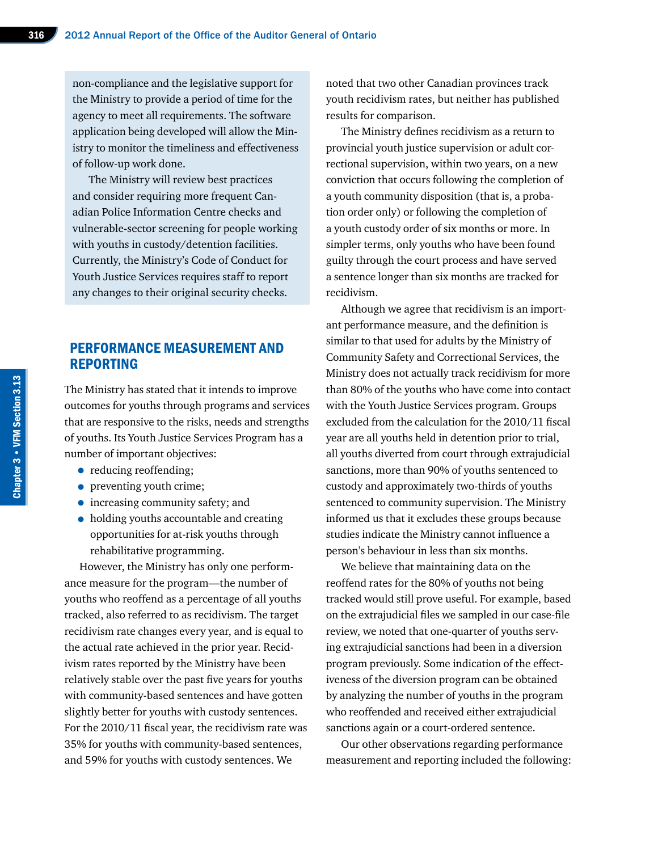non-compliance and the legislative support for the Ministry to provide a period of time for the agency to meet all requirements. The software application being developed will allow the Ministry to monitor the timeliness and effectiveness of follow-up work done.

The Ministry will review best practices and consider requiring more frequent Canadian Police Information Centre checks and vulnerable-sector screening for people working with youths in custody/detention facilities. Currently, the Ministry's Code of Conduct for Youth Justice Services requires staff to report any changes to their original security checks.

# PERFORMANCE MEASUREMENT AND REPORTING

The Ministry has stated that it intends to improve outcomes for youths through programs and services that are responsive to the risks, needs and strengths of youths. Its Youth Justice Services Program has a number of important objectives:

- reducing reoffending;
- preventing youth crime;
- increasing community safety; and
- holding youths accountable and creating opportunities for at-risk youths through rehabilitative programming.

However, the Ministry has only one performance measure for the program—the number of youths who reoffend as a percentage of all youths tracked, also referred to as recidivism. The target recidivism rate changes every year, and is equal to the actual rate achieved in the prior year. Recidivism rates reported by the Ministry have been relatively stable over the past five years for youths with community-based sentences and have gotten slightly better for youths with custody sentences. For the 2010/11 fiscal year, the recidivism rate was 35% for youths with community-based sentences, and 59% for youths with custody sentences. We

noted that two other Canadian provinces track youth recidivism rates, but neither has published results for comparison.

The Ministry defines recidivism as a return to provincial youth justice supervision or adult correctional supervision, within two years, on a new conviction that occurs following the completion of a youth community disposition (that is, a probation order only) or following the completion of a youth custody order of six months or more. In simpler terms, only youths who have been found guilty through the court process and have served a sentence longer than six months are tracked for recidivism.

Although we agree that recidivism is an important performance measure, and the definition is similar to that used for adults by the Ministry of Community Safety and Correctional Services, the Ministry does not actually track recidivism for more than 80% of the youths who have come into contact with the Youth Justice Services program. Groups excluded from the calculation for the 2010/11 fiscal year are all youths held in detention prior to trial, all youths diverted from court through extrajudicial sanctions, more than 90% of youths sentenced to custody and approximately two-thirds of youths sentenced to community supervision. The Ministry informed us that it excludes these groups because studies indicate the Ministry cannot influence a person's behaviour in less than six months.

We believe that maintaining data on the reoffend rates for the 80% of youths not being tracked would still prove useful. For example, based on the extrajudicial files we sampled in our case-file review, we noted that one-quarter of youths serving extrajudicial sanctions had been in a diversion program previously. Some indication of the effectiveness of the diversion program can be obtained by analyzing the number of youths in the program who reoffended and received either extrajudicial sanctions again or a court-ordered sentence.

Our other observations regarding performance measurement and reporting included the following: